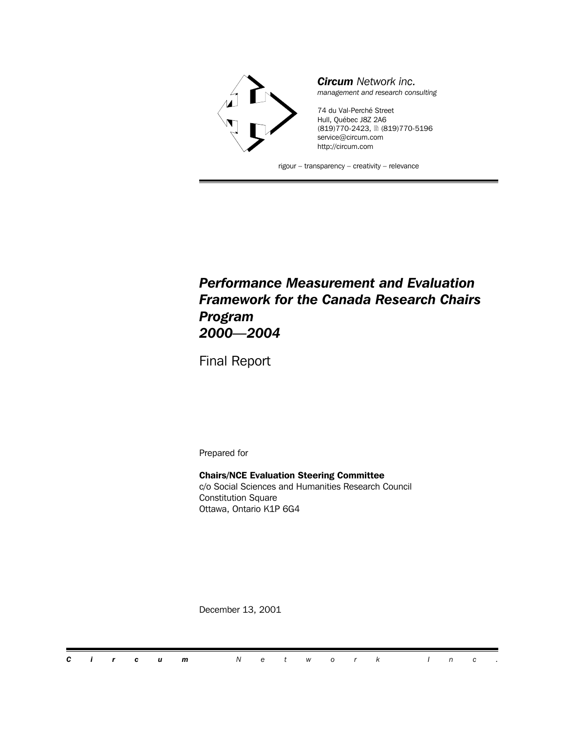

#### *Performance Measurement and Evaluation Framework for the Canada Research Chairs Program 2000—2004*

Final Report

Prepared for

**Chairs/NCE Evaluation Steering Committee** c/o Social Sciences and Humanities Research Council Constitution Square Ottawa, Ontario K1P 6G4

December 13, 2001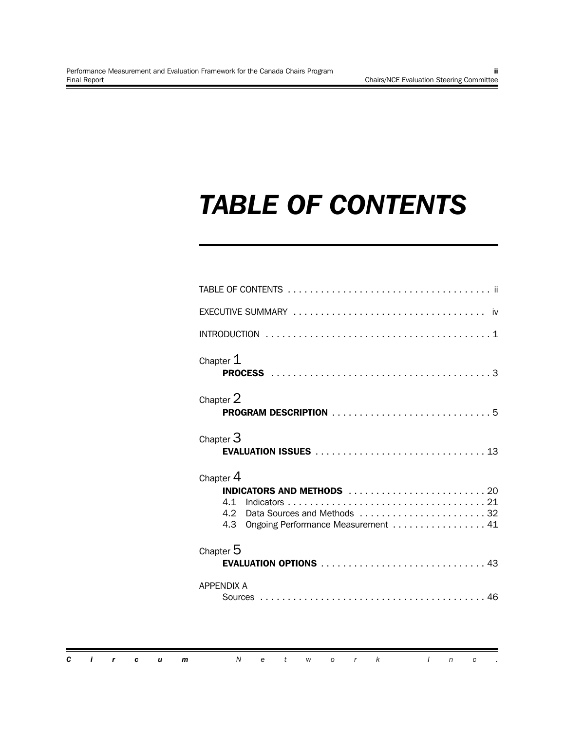### *TABLE OF CONTENTS*

| Chapter $1$       |                                                                   |
|-------------------|-------------------------------------------------------------------|
| Chapter 2         |                                                                   |
| Chapter $3$       |                                                                   |
| Chapter $4$       |                                                                   |
| 4.1<br>4.2<br>4.3 | Data Sources and Methods 32<br>Ongoing Performance Measurement 41 |
| Chapter $5$       | EVALUATION OPTIONS  43                                            |
| <b>APPENDIX A</b> |                                                                   |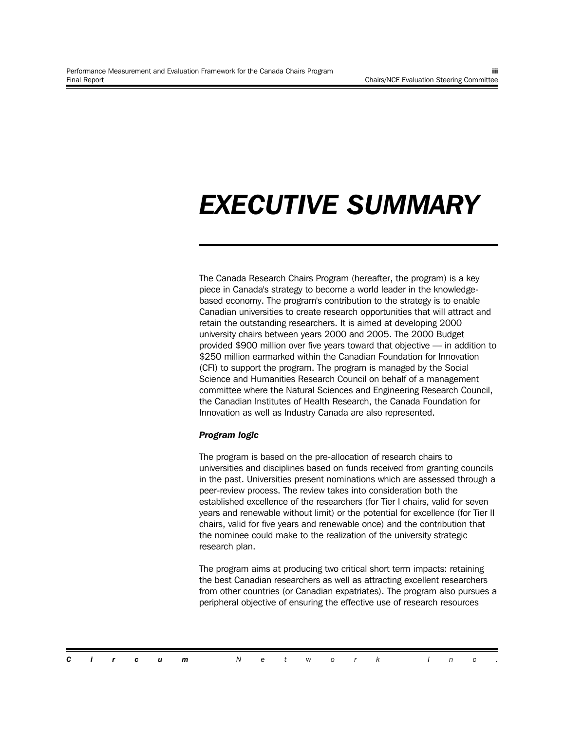### *EXECUTIVE SUMMARY*

The Canada Research Chairs Program (hereafter, the program) is a key piece in Canada's strategy to become a world leader in the knowledgebased economy. The program's contribution to the strategy is to enable Canadian universities to create research opportunities that will attract and retain the outstanding researchers. It is aimed at developing 2000 university chairs between years 2000 and 2005. The 2000 Budget provided \$900 million over five years toward that objective — in addition to \$250 million earmarked within the Canadian Foundation for Innovation (CFI) to support the program. The program is managed by the Social Science and Humanities Research Council on behalf of a management committee where the Natural Sciences and Engineering Research Council, the Canadian Institutes of Health Research, the Canada Foundation for Innovation as well as Industry Canada are also represented.

#### *Program logic*

The program is based on the pre-allocation of research chairs to universities and disciplines based on funds received from granting councils in the past. Universities present nominations which are assessed through a peer-review process. The review takes into consideration both the established excellence of the researchers (for Tier I chairs, valid for seven years and renewable without limit) or the potential for excellence (for Tier II chairs, valid for five years and renewable once) and the contribution that the nominee could make to the realization of the university strategic research plan.

The program aims at producing two critical short term impacts: retaining the best Canadian researchers as well as attracting excellent researchers from other countries (or Canadian expatriates). The program also pursues a peripheral objective of ensuring the effective use of research resources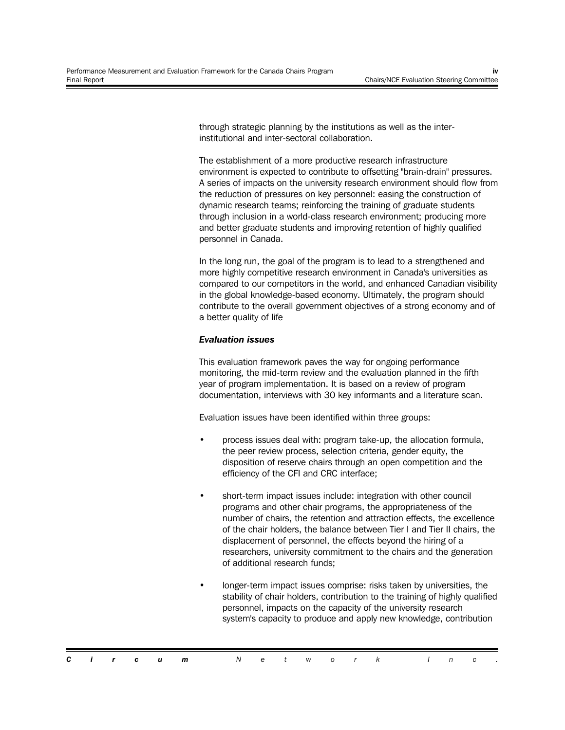through strategic planning by the institutions as well as the interinstitutional and inter-sectoral collaboration.

The establishment of a more productive research infrastructure environment is expected to contribute to offsetting "brain-drain" pressures. A series of impacts on the university research environment should flow from the reduction of pressures on key personnel: easing the construction of dynamic research teams; reinforcing the training of graduate students through inclusion in a world-class research environment; producing more and better graduate students and improving retention of highly qualified personnel in Canada.

In the long run, the goal of the program is to lead to a strengthened and more highly competitive research environment in Canada's universities as compared to our competitors in the world, and enhanced Canadian visibility in the global knowledge-based economy. Ultimately, the program should contribute to the overall government objectives of a strong economy and of a better quality of life

#### *Evaluation issues*

This evaluation framework paves the way for ongoing performance monitoring, the mid-term review and the evaluation planned in the fifth year of program implementation. It is based on a review of program documentation, interviews with 30 key informants and a literature scan.

Evaluation issues have been identified within three groups:

- process issues deal with: program take-up, the allocation formula, the peer review process, selection criteria, gender equity, the disposition of reserve chairs through an open competition and the efficiency of the CFI and CRC interface;
- short-term impact issues include: integration with other council programs and other chair programs, the appropriateness of the number of chairs, the retention and attraction effects, the excellence of the chair holders, the balance between Tier I and Tier II chairs, the displacement of personnel, the effects beyond the hiring of a researchers, university commitment to the chairs and the generation of additional research funds;
- longer-term impact issues comprise: risks taken by universities, the stability of chair holders, contribution to the training of highly qualified personnel, impacts on the capacity of the university research system's capacity to produce and apply new knowledge, contribution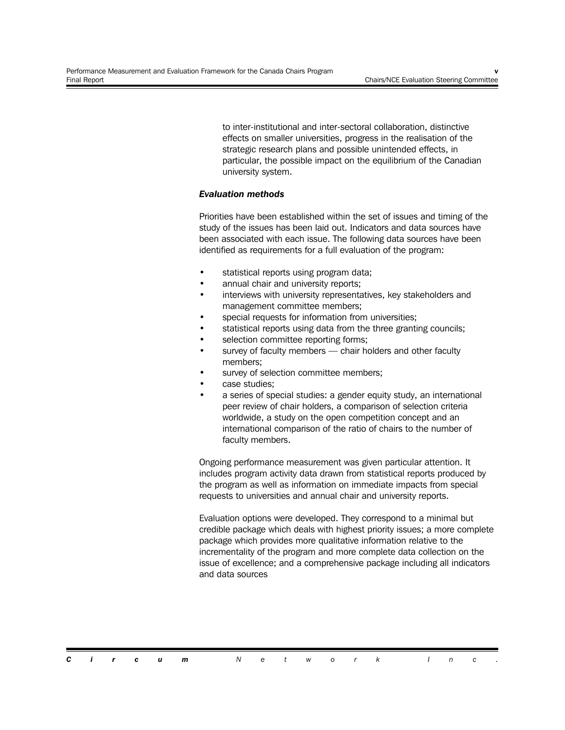to inter-institutional and inter-sectoral collaboration, distinctive effects on smaller universities, progress in the realisation of the strategic research plans and possible unintended effects, in particular, the possible impact on the equilibrium of the Canadian university system.

#### *Evaluation methods*

Priorities have been established within the set of issues and timing of the study of the issues has been laid out. Indicators and data sources have been associated with each issue. The following data sources have been identified as requirements for a full evaluation of the program:

- statistical reports using program data;
- annual chair and university reports;
- interviews with university representatives, key stakeholders and management committee members;
- special requests for information from universities;
- statistical reports using data from the three granting councils;
- selection committee reporting forms;
- survey of faculty members chair holders and other faculty members;
- survey of selection committee members;
- case studies;
- a series of special studies: a gender equity study, an international peer review of chair holders, a comparison of selection criteria worldwide, a study on the open competition concept and an international comparison of the ratio of chairs to the number of faculty members.

Ongoing performance measurement was given particular attention. It includes program activity data drawn from statistical reports produced by the program as well as information on immediate impacts from special requests to universities and annual chair and university reports.

Evaluation options were developed. They correspond to a minimal but credible package which deals with highest priority issues; a more complete package which provides more qualitative information relative to the incrementality of the program and more complete data collection on the issue of excellence; and a comprehensive package including all indicators and data sources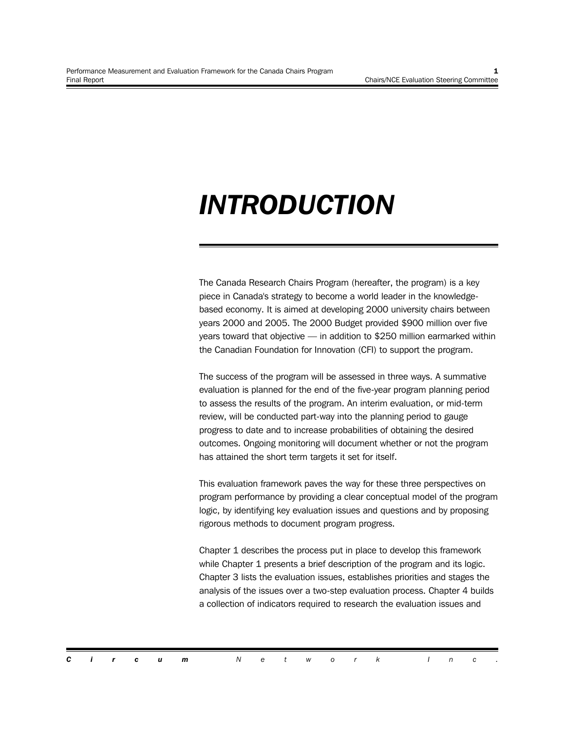### *INTRODUCTION*

The Canada Research Chairs Program (hereafter, the program) is a key piece in Canada's strategy to become a world leader in the knowledgebased economy. It is aimed at developing 2000 university chairs between years 2000 and 2005. The 2000 Budget provided \$900 million over five years toward that objective — in addition to \$250 million earmarked within the Canadian Foundation for Innovation (CFI) to support the program.

The success of the program will be assessed in three ways. A summative evaluation is planned for the end of the five-year program planning period to assess the results of the program. An interim evaluation, or mid-term review, will be conducted part-way into the planning period to gauge progress to date and to increase probabilities of obtaining the desired outcomes. Ongoing monitoring will document whether or not the program has attained the short term targets it set for itself.

This evaluation framework paves the way for these three perspectives on program performance by providing a clear conceptual model of the program logic, by identifying key evaluation issues and questions and by proposing rigorous methods to document program progress.

Chapter 1 describes the process put in place to develop this framework while Chapter 1 presents a brief description of the program and its logic. Chapter 3 lists the evaluation issues, establishes priorities and stages the analysis of the issues over a two-step evaluation process. Chapter 4 builds a collection of indicators required to research the evaluation issues and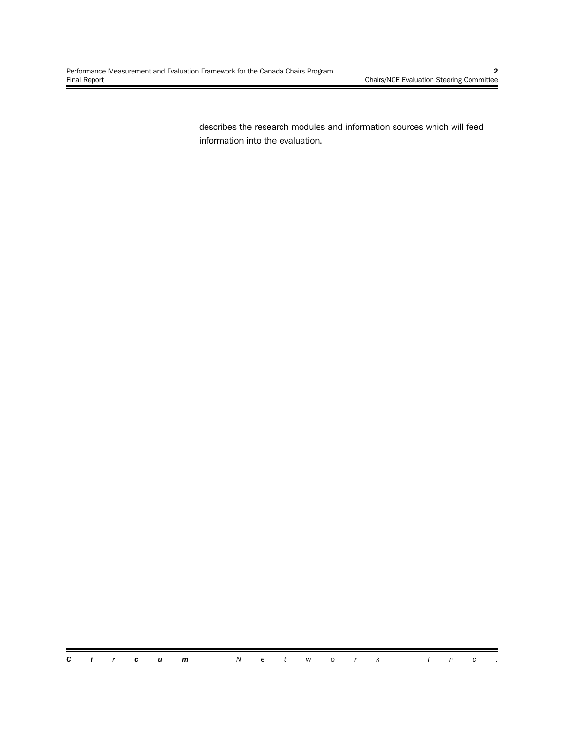describes the research modules and information sources which will feed information into the evaluation.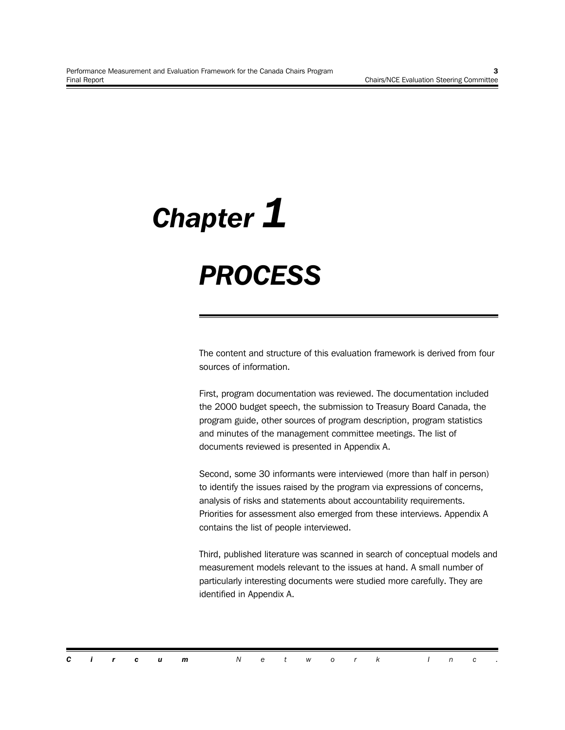# *Chapter 1*

### *PROCESS*

The content and structure of this evaluation framework is derived from four sources of information.

First, program documentation was reviewed. The documentation included the 2000 budget speech, the submission to Treasury Board Canada, the program guide, other sources of program description, program statistics and minutes of the management committee meetings. The list of documents reviewed is presented in Appendix A.

Second, some 30 informants were interviewed (more than half in person) to identify the issues raised by the program via expressions of concerns, analysis of risks and statements about accountability requirements. Priorities for assessment also emerged from these interviews. Appendix A contains the list of people interviewed.

Third, published literature was scanned in search of conceptual models and measurement models relevant to the issues at hand. A small number of particularly interesting documents were studied more carefully. They are identified in Appendix A.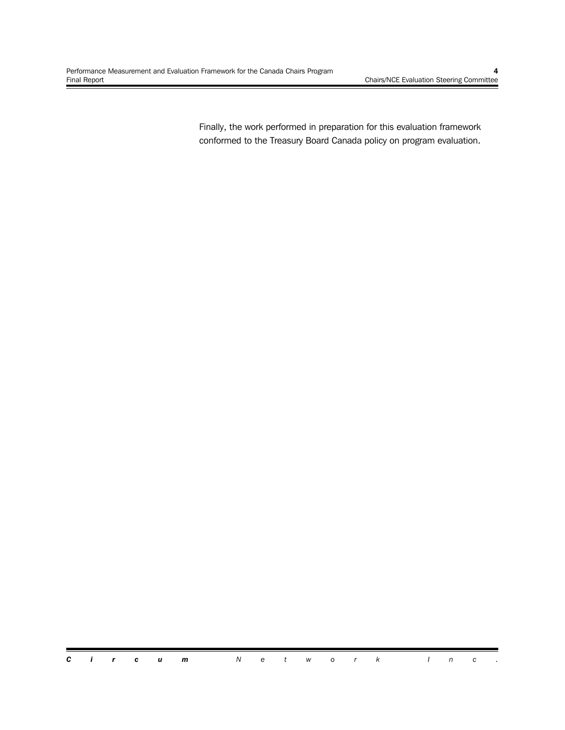Finally, the work performed in preparation for this evaluation framework conformed to the Treasury Board Canada policy on program evaluation.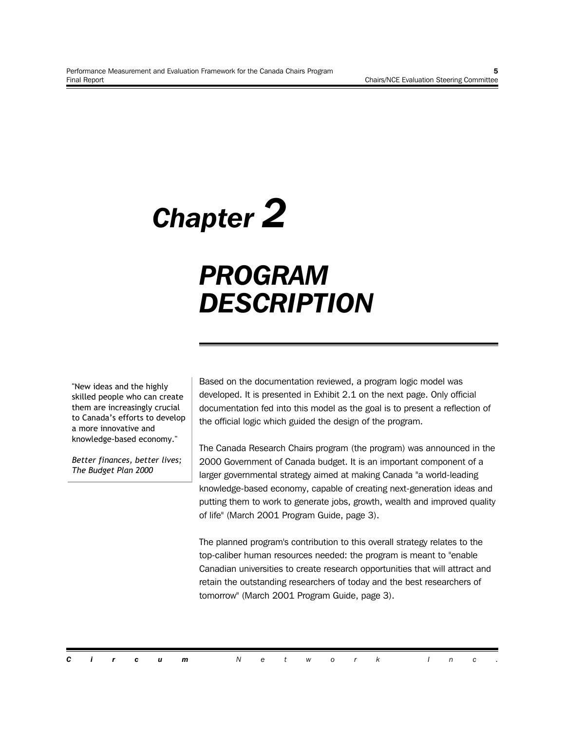# *Chapter 2*

### *PROGRAM DESCRIPTION*

"New ideas and the highly skilled people who can create them are increasingly crucial to Canada's efforts to develop a more innovative and knowledge-based economy."

*Better finances, better lives; The Budget Plan 2000*

Based on the documentation reviewed, a program logic model was developed. It is presented in Exhibit 2.1 on the next page. Only official documentation fed into this model as the goal is to present a reflection of the official logic which guided the design of the program.

The Canada Research Chairs program (the program) was announced in the 2000 Government of Canada budget. It is an important component of a larger governmental strategy aimed at making Canada "a world-leading knowledge-based economy, capable of creating next-generation ideas and putting them to work to generate jobs, growth, wealth and improved quality of life" (March 2001 Program Guide, page 3).

The planned program's contribution to this overall strategy relates to the top-caliber human resources needed: the program is meant to "enable Canadian universities to create research opportunities that will attract and retain the outstanding researchers of today and the best researchers of tomorrow" (March 2001 Program Guide, page 3).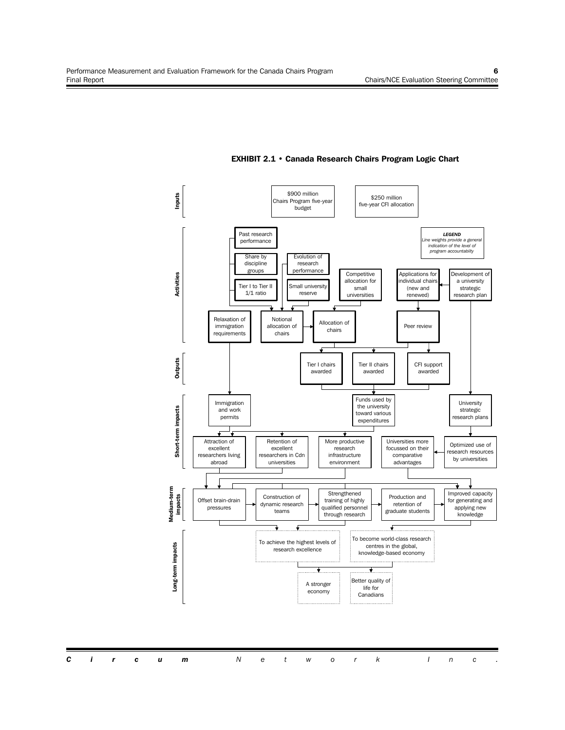

#### **EXHIBIT 2.1 • Canada Research Chairs Program Logic Chart**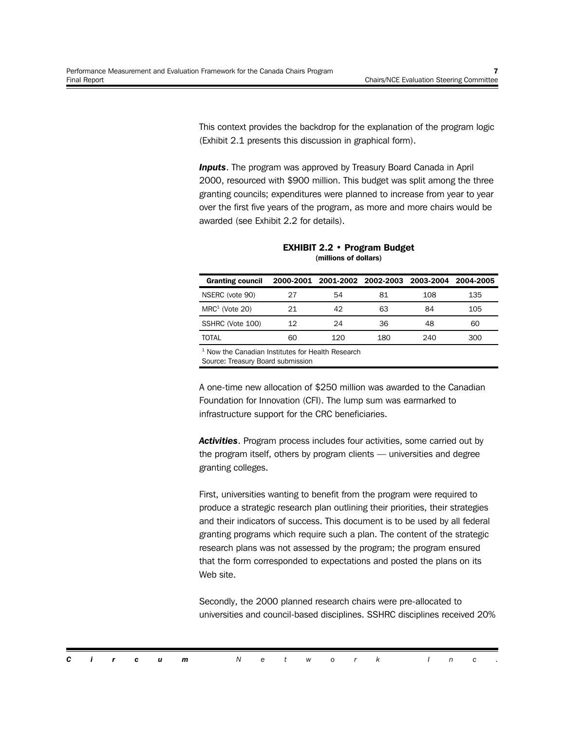This context provides the backdrop for the explanation of the program logic (Exhibit 2.1 presents this discussion in graphical form).

**Inputs**. The program was approved by Treasury Board Canada in April 2000, resourced with \$900 million. This budget was split among the three granting councils; expenditures were planned to increase from year to year over the first five years of the program, as more and more chairs would be awarded (see Exhibit 2.2 for details).

| <b>Granting council</b> |     |     |     | 2000-2001 2001-2002 2002-2003 2003-2004 | 2004-2005 |
|-------------------------|-----|-----|-----|-----------------------------------------|-----------|
| NSERC (vote 90)         |     | 54  | 81  | 108                                     | 135       |
| $MRC1$ (Vote 20)        | 21  | 42  | 63  | 84                                      | 105       |
| SSHRC (Vote 100)        | 12. | 24  | 36  | 48                                      | 60        |
| TOTAL                   | ഒറ  | 120 | 180 | 240                                     | 300       |

**EXHIBIT 2.2 • Program Budget (millions of dollars)**

<sup>1</sup> Now the Canadian Institutes for Health Research

Source: Treasury Board submission

A one-time new allocation of \$250 million was awarded to the Canadian Foundation for Innovation (CFI). The lump sum was earmarked to infrastructure support for the CRC beneficiaries.

*Activities*. Program process includes four activities, some carried out by the program itself, others by program clients — universities and degree granting colleges.

First, universities wanting to benefit from the program were required to produce a strategic research plan outlining their priorities, their strategies and their indicators of success. This document is to be used by all federal granting programs which require such a plan. The content of the strategic research plans was not assessed by the program; the program ensured that the form corresponded to expectations and posted the plans on its Web site.

Secondly, the 2000 planned research chairs were pre-allocated to universities and council-based disciplines. SSHRC disciplines received 20%

|  |  | <b>Circum</b> Network Inc. |  |  |  |  |  |  |
|--|--|----------------------------|--|--|--|--|--|--|
|  |  |                            |  |  |  |  |  |  |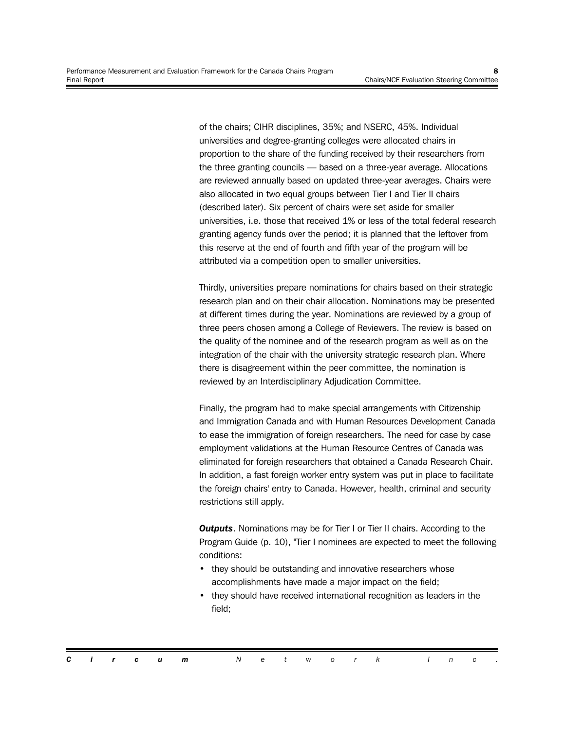of the chairs; CIHR disciplines, 35%; and NSERC, 45%. Individual universities and degree-granting colleges were allocated chairs in proportion to the share of the funding received by their researchers from the three granting councils — based on a three-year average. Allocations are reviewed annually based on updated three-year averages. Chairs were also allocated in two equal groups between Tier I and Tier II chairs (described later). Six percent of chairs were set aside for smaller universities, i.e. those that received 1% or less of the total federal research granting agency funds over the period; it is planned that the leftover from this reserve at the end of fourth and fifth year of the program will be attributed via a competition open to smaller universities.

Thirdly, universities prepare nominations for chairs based on their strategic research plan and on their chair allocation. Nominations may be presented at different times during the year. Nominations are reviewed by a group of three peers chosen among a College of Reviewers. The review is based on the quality of the nominee and of the research program as well as on the integration of the chair with the university strategic research plan. Where there is disagreement within the peer committee, the nomination is reviewed by an Interdisciplinary Adjudication Committee.

Finally, the program had to make special arrangements with Citizenship and Immigration Canada and with Human Resources Development Canada to ease the immigration of foreign researchers. The need for case by case employment validations at the Human Resource Centres of Canada was eliminated for foreign researchers that obtained a Canada Research Chair. In addition, a fast foreign worker entry system was put in place to facilitate the foreign chairs' entry to Canada. However, health, criminal and security restrictions still apply.

*Outputs*. Nominations may be for Tier I or Tier II chairs. According to the Program Guide (p. 10), "Tier I nominees are expected to meet the following conditions:

- they should be outstanding and innovative researchers whose accomplishments have made a major impact on the field;
- they should have received international recognition as leaders in the field;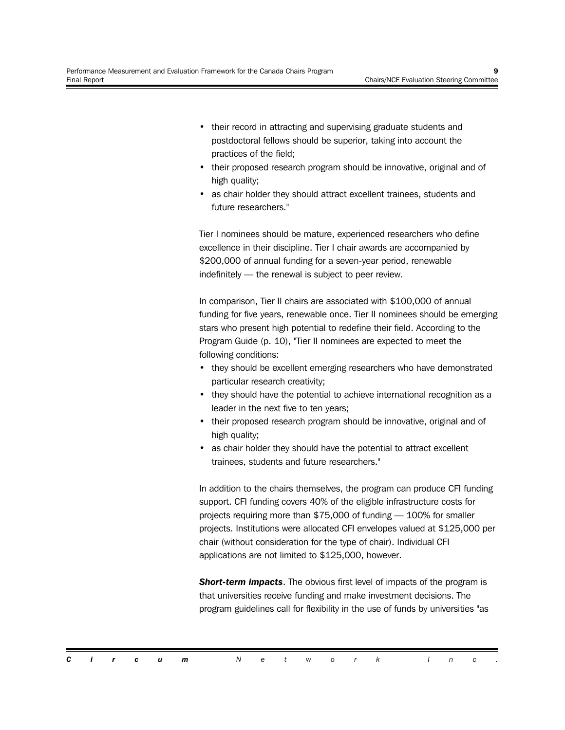- their record in attracting and supervising graduate students and postdoctoral fellows should be superior, taking into account the practices of the field;
- their proposed research program should be innovative, original and of high quality;
- as chair holder they should attract excellent trainees, students and future researchers."

Tier I nominees should be mature, experienced researchers who define excellence in their discipline. Tier I chair awards are accompanied by \$200,000 of annual funding for a seven-year period, renewable indefinitely — the renewal is subject to peer review.

In comparison, Tier II chairs are associated with \$100,000 of annual funding for five years, renewable once. Tier II nominees should be emerging stars who present high potential to redefine their field. According to the Program Guide (p. 10), "Tier II nominees are expected to meet the following conditions:

- they should be excellent emerging researchers who have demonstrated particular research creativity;
- they should have the potential to achieve international recognition as a leader in the next five to ten years;
- their proposed research program should be innovative, original and of high quality;
- as chair holder they should have the potential to attract excellent trainees, students and future researchers."

In addition to the chairs themselves, the program can produce CFI funding support. CFI funding covers 40% of the eligible infrastructure costs for projects requiring more than \$75,000 of funding — 100% for smaller projects. Institutions were allocated CFI envelopes valued at \$125,000 per chair (without consideration for the type of chair). Individual CFI applications are not limited to \$125,000, however.

*Short-term impacts*. The obvious first level of impacts of the program is that universities receive funding and make investment decisions. The program guidelines call for flexibility in the use of funds by universities "as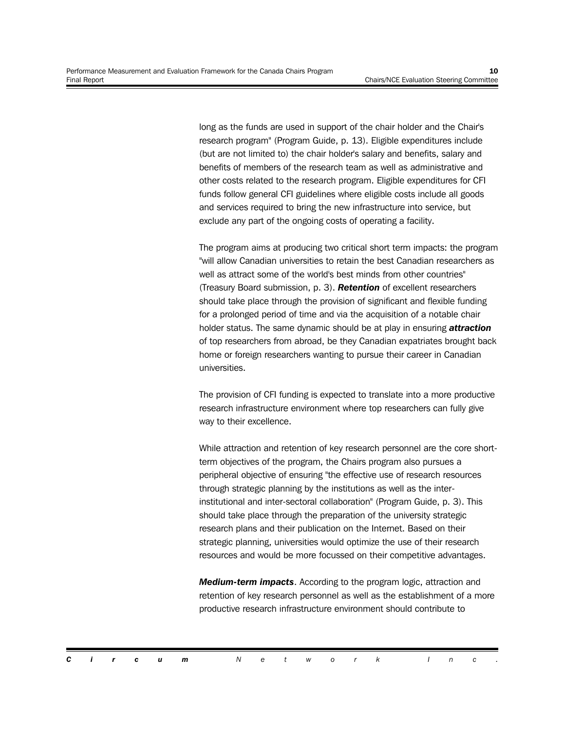long as the funds are used in support of the chair holder and the Chair's research program" (Program Guide, p. 13). Eligible expenditures include (but are not limited to) the chair holder's salary and benefits, salary and benefits of members of the research team as well as administrative and other costs related to the research program. Eligible expenditures for CFI funds follow general CFI guidelines where eligible costs include all goods and services required to bring the new infrastructure into service, but exclude any part of the ongoing costs of operating a facility.

The program aims at producing two critical short term impacts: the program "will allow Canadian universities to retain the best Canadian researchers as well as attract some of the world's best minds from other countries" (Treasury Board submission, p. 3). *Retention* of excellent researchers should take place through the provision of significant and flexible funding for a prolonged period of time and via the acquisition of a notable chair holder status. The same dynamic should be at play in ensuring *attraction* of top researchers from abroad, be they Canadian expatriates brought back home or foreign researchers wanting to pursue their career in Canadian universities.

The provision of CFI funding is expected to translate into a more productive research infrastructure environment where top researchers can fully give way to their excellence.

While attraction and retention of key research personnel are the core shortterm objectives of the program, the Chairs program also pursues a peripheral objective of ensuring "the effective use of research resources through strategic planning by the institutions as well as the interinstitutional and inter-sectoral collaboration" (Program Guide, p. 3). This should take place through the preparation of the university strategic research plans and their publication on the Internet. Based on their strategic planning, universities would optimize the use of their research resources and would be more focussed on their competitive advantages.

*Medium-term impacts*. According to the program logic, attraction and retention of key research personnel as well as the establishment of a more productive research infrastructure environment should contribute to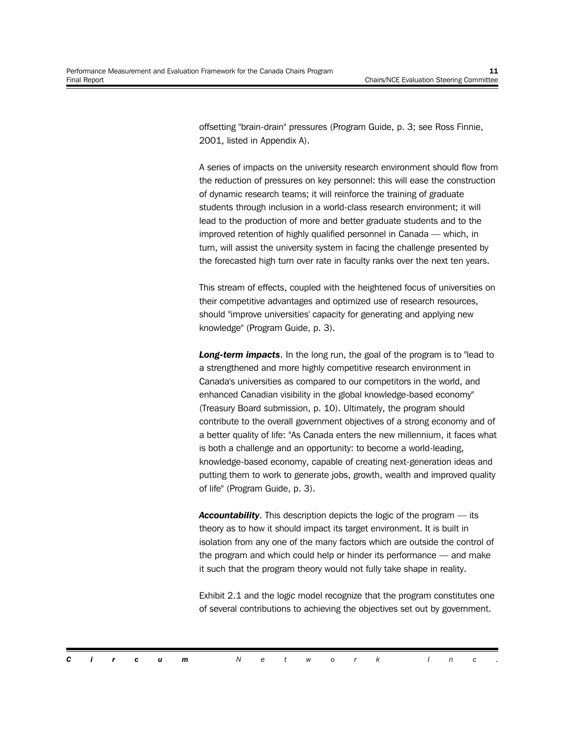offsetting "brain-drain" pressures (Program Guide, p. 3; see Ross Finnie, 2001, listed in Appendix A).

A series of impacts on the university research environment should flow from the reduction of pressures on key personnel: this will ease the construction of dynamic research teams; it will reinforce the training of graduate students through inclusion in a world-class research environment; it will lead to the production of more and better graduate students and to the improved retention of highly qualified personnel in Canada — which, in turn, will assist the university system in facing the challenge presented by the forecasted high turn over rate in faculty ranks over the next ten years.

This stream of effects, coupled with the heightened focus of universities on their competitive advantages and optimized use of research resources, should "improve universities' capacity for generating and applying new knowledge" (Program Guide, p. 3).

*Long-term impacts*. In the long run, the goal of the program is to "lead to a strengthened and more highly competitive research environment in Canada's universities as compared to our competitors in the world, and enhanced Canadian visibility in the global knowledge-based economy" (Treasury Board submission, p. 10). Ultimately, the program should contribute to the overall government objectives of a strong economy and of a better quality of life: "As Canada enters the new millennium, it faces what is both a challenge and an opportunity: to become a world-leading, knowledge-based economy, capable of creating next-generation ideas and putting them to work to generate jobs, growth, wealth and improved quality of life" (Program Guide, p. 3).

*Accountability*. This description depicts the logic of the program — its theory as to how it should impact its target environment. It is built in isolation from any one of the many factors which are outside the control of the program and which could help or hinder its performance — and make it such that the program theory would not fully take shape in reality.

Exhibit 2.1 and the logic model recognize that the program constitutes one of several contributions to achieving the objectives set out by government.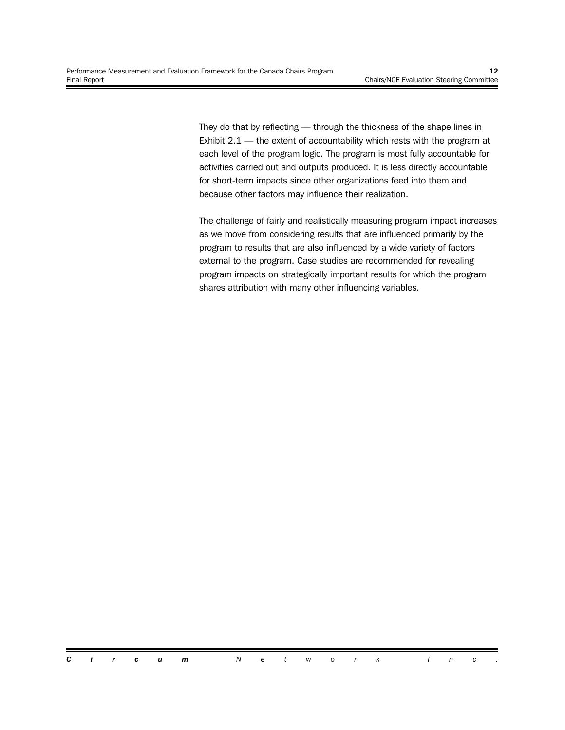They do that by reflecting — through the thickness of the shape lines in Exhibit  $2.1$  — the extent of accountability which rests with the program at each level of the program logic. The program is most fully accountable for activities carried out and outputs produced. It is less directly accountable for short-term impacts since other organizations feed into them and because other factors may influence their realization.

The challenge of fairly and realistically measuring program impact increases as we move from considering results that are influenced primarily by the program to results that are also influenced by a wide variety of factors external to the program. Case studies are recommended for revealing program impacts on strategically important results for which the program shares attribution with many other influencing variables.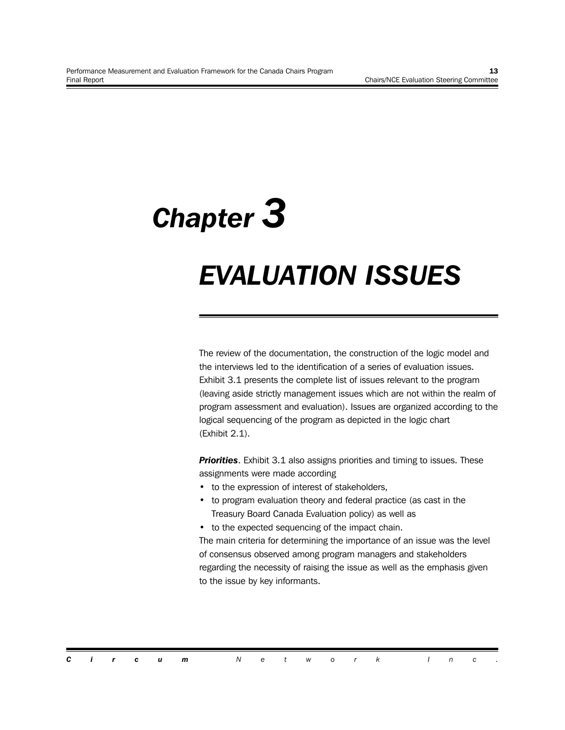## *Chapter 3*

### *EVALUATION ISSUES*

The review of the documentation, the construction of the logic model and the interviews led to the identification of a series of evaluation issues. Exhibit 3.1 presents the complete list of issues relevant to the program (leaving aside strictly management issues which are not within the realm of program assessment and evaluation). Issues are organized according to the logical sequencing of the program as depicted in the logic chart (Exhibit 2.1).

*Priorities*. Exhibit 3.1 also assigns priorities and timing to issues. These assignments were made according

- to the expression of interest of stakeholders,
- to program evaluation theory and federal practice (as cast in the Treasury Board Canada Evaluation policy) as well as
- to the expected sequencing of the impact chain.

The main criteria for determining the importance of an issue was the level of consensus observed among program managers and stakeholders regarding the necessity of raising the issue as well as the emphasis given to the issue by key informants.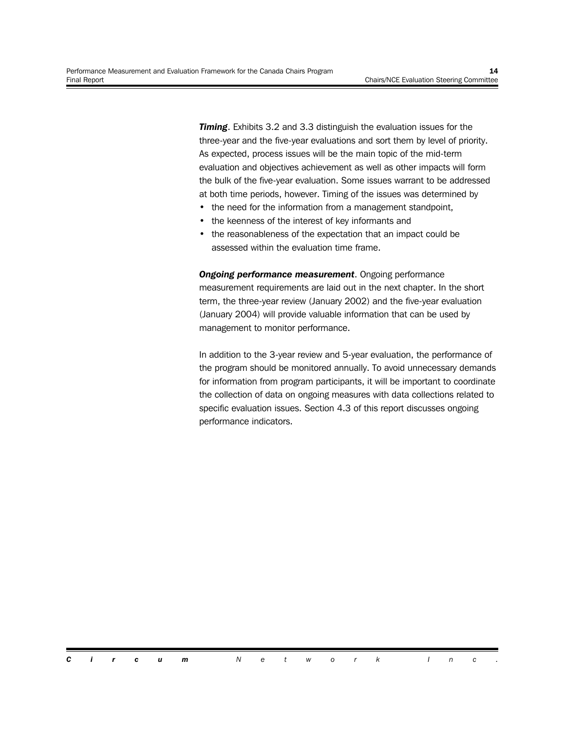**Timing.** Exhibits 3.2 and 3.3 distinguish the evaluation issues for the three-year and the five-year evaluations and sort them by level of priority. As expected, process issues will be the main topic of the mid-term evaluation and objectives achievement as well as other impacts will form the bulk of the five-year evaluation. Some issues warrant to be addressed at both time periods, however. Timing of the issues was determined by

- the need for the information from a management standpoint,
- the keenness of the interest of key informants and
- the reasonableness of the expectation that an impact could be assessed within the evaluation time frame.

*Ongoing performance measurement*. Ongoing performance measurement requirements are laid out in the next chapter. In the short term, the three-year review (January 2002) and the five-year evaluation (January 2004) will provide valuable information that can be used by management to monitor performance.

In addition to the 3-year review and 5-year evaluation, the performance of the program should be monitored annually. To avoid unnecessary demands for information from program participants, it will be important to coordinate the collection of data on ongoing measures with data collections related to specific evaluation issues. Section 4.3 of this report discusses ongoing performance indicators.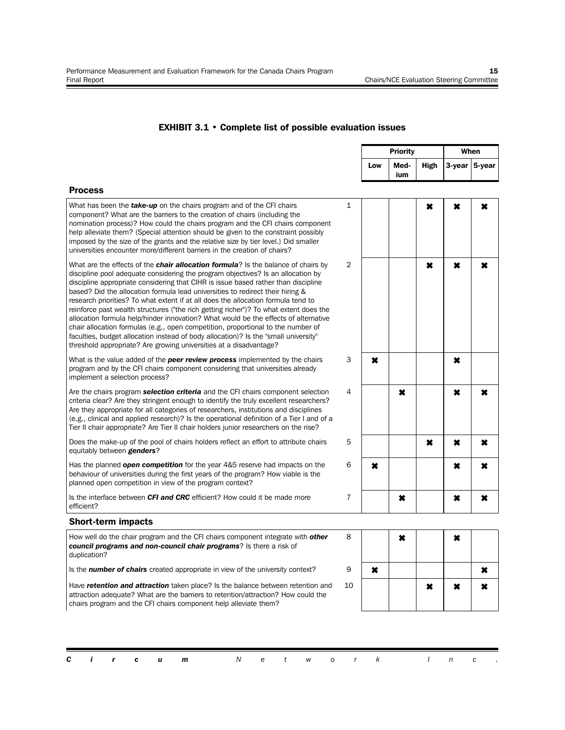#### **EXHIBIT 3.1 • Complete list of possible evaluation issues**

|                                                                                                                                                                                                                                                                                                                                                                                                                                                                                                                                                                                                                                                                                                                                                                                                                                                                             |                |             | <b>Priority</b> | When          |   |   |
|-----------------------------------------------------------------------------------------------------------------------------------------------------------------------------------------------------------------------------------------------------------------------------------------------------------------------------------------------------------------------------------------------------------------------------------------------------------------------------------------------------------------------------------------------------------------------------------------------------------------------------------------------------------------------------------------------------------------------------------------------------------------------------------------------------------------------------------------------------------------------------|----------------|-------------|-----------------|---------------|---|---|
|                                                                                                                                                                                                                                                                                                                                                                                                                                                                                                                                                                                                                                                                                                                                                                                                                                                                             | Low            | Med-<br>ium | <b>High</b>     | 3-year 5-year |   |   |
| <b>Process</b>                                                                                                                                                                                                                                                                                                                                                                                                                                                                                                                                                                                                                                                                                                                                                                                                                                                              |                |             |                 |               |   |   |
| What has been the take-up on the chairs program and of the CFI chairs<br>component? What are the barriers to the creation of chairs (including the<br>nomination process)? How could the chairs program and the CFI chairs component<br>help alleviate them? (Special attention should be given to the constraint possibly<br>imposed by the size of the grants and the relative size by tier level.) Did smaller<br>universities encounter more/different barriers in the creation of chairs?                                                                                                                                                                                                                                                                                                                                                                              | $\mathbf{1}$   |             |                 | ×             | × | × |
| What are the effects of the <b>chair allocation formula</b> ? Is the balance of chairs by<br>discipline pool adequate considering the program objectives? Is an allocation by<br>discipline appropriate considering that CIHR is issue based rather than discipline<br>based? Did the allocation formula lead universities to redirect their hiring &<br>research priorities? To what extent if at all does the allocation formula tend to<br>reinforce past wealth structures ("the rich getting richer")? To what extent does the<br>allocation formula help/hinder innovation? What would be the effects of alternative<br>chair allocation formulas (e.g., open competition, proportional to the number of<br>faculties, budget allocation instead of body allocation)? Is the "small university"<br>threshold appropriate? Are growing universities at a disadvantage? | 2              |             |                 | ×             | × | × |
| What is the value added of the <b>peer review process</b> implemented by the chairs<br>program and by the CFI chairs component considering that universities already<br>implement a selection process?                                                                                                                                                                                                                                                                                                                                                                                                                                                                                                                                                                                                                                                                      | 3              | ×           |                 |               | × |   |
| Are the chairs program <b>selection criteria</b> and the CFI chairs component selection<br>criteria clear? Are they stringent enough to identify the truly excellent researchers?<br>Are they appropriate for all categories of researchers, institutions and disciplines<br>(e.g., clinical and applied research)? Is the operational definition of a Tier I and of a<br>Tier II chair appropriate? Are Tier II chair holders junior researchers on the rise?                                                                                                                                                                                                                                                                                                                                                                                                              | 4              |             | ×               |               | × | × |
| Does the make-up of the pool of chairs holders reflect an effort to attribute chairs<br>equitably between <b>genders</b> ?                                                                                                                                                                                                                                                                                                                                                                                                                                                                                                                                                                                                                                                                                                                                                  | 5              |             |                 | ×             | × | × |
| Has the planned <b>open competition</b> for the year 4&5 reserve had impacts on the<br>behaviour of universities during the first years of the program? How viable is the<br>planned open competition in view of the program context?                                                                                                                                                                                                                                                                                                                                                                                                                                                                                                                                                                                                                                       | 6              | ×           |                 |               | × | × |
| Is the interface between CFI and CRC efficient? How could it be made more<br>efficient?                                                                                                                                                                                                                                                                                                                                                                                                                                                                                                                                                                                                                                                                                                                                                                                     | $\overline{7}$ |             | ×               |               | × | × |
| <b>Short-term impacts</b>                                                                                                                                                                                                                                                                                                                                                                                                                                                                                                                                                                                                                                                                                                                                                                                                                                                   |                |             |                 |               |   |   |
| How well do the chair program and the CFI chairs component integrate with other<br>council programs and non-council chair programs? Is there a risk of<br>duplication?                                                                                                                                                                                                                                                                                                                                                                                                                                                                                                                                                                                                                                                                                                      | 8              |             | ×               |               | × |   |
| Is the <b>number of chairs</b> created appropriate in view of the university context?                                                                                                                                                                                                                                                                                                                                                                                                                                                                                                                                                                                                                                                                                                                                                                                       | 9              | ×           |                 |               |   | × |
| Have retention and attraction taken place? Is the balance between retention and                                                                                                                                                                                                                                                                                                                                                                                                                                                                                                                                                                                                                                                                                                                                                                                             | 10             |             |                 | ×             | × | × |

*Circum Network Inc .*

attraction adequate? What are the barriers to retention/attraction? How could the

chairs program and the CFI chairs component help alleviate them?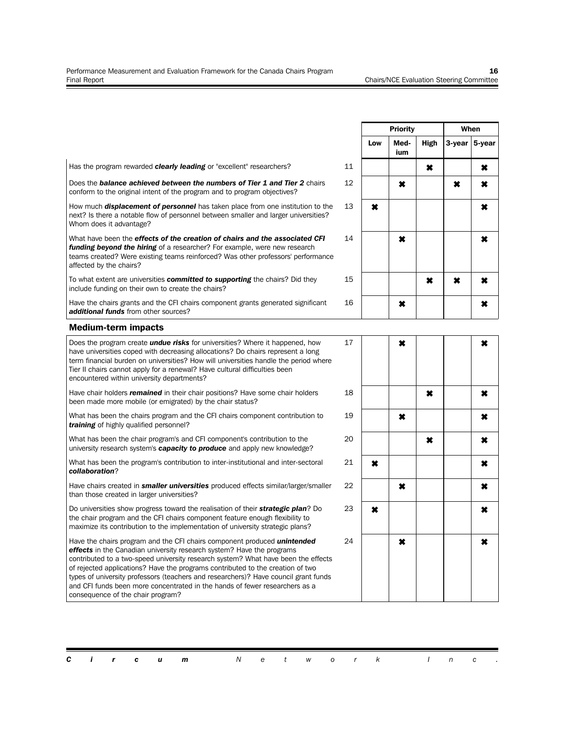|                                                                                                                                                                                                                                                                                                                                                                                                                                                                                                                                                   |    |     | <b>Priority</b> | When |                     |        |
|---------------------------------------------------------------------------------------------------------------------------------------------------------------------------------------------------------------------------------------------------------------------------------------------------------------------------------------------------------------------------------------------------------------------------------------------------------------------------------------------------------------------------------------------------|----|-----|-----------------|------|---------------------|--------|
|                                                                                                                                                                                                                                                                                                                                                                                                                                                                                                                                                   |    | Low | Med-<br>ium     | High | 3-year              | 5-year |
| Has the program rewarded <b>clearly leading</b> or "excellent" researchers?                                                                                                                                                                                                                                                                                                                                                                                                                                                                       | 11 |     |                 | ×    |                     | ×      |
| Does the <b>balance achieved between the numbers of Tier 1 and Tier 2</b> chairs<br>conform to the original intent of the program and to program objectives?                                                                                                                                                                                                                                                                                                                                                                                      | 12 |     | ×               |      | ×                   | ×      |
| How much <b>displacement of personnel</b> has taken place from one institution to the<br>next? Is there a notable flow of personnel between smaller and larger universities?<br>Whom does it advantage?                                                                                                                                                                                                                                                                                                                                           | 13 | ×   |                 |      |                     | ×      |
| What have been the <b>effects of the creation of chairs and the associated CFI</b><br>funding beyond the hiring of a researcher? For example, were new research<br>teams created? Were existing teams reinforced? Was other professors' performance<br>affected by the chairs?                                                                                                                                                                                                                                                                    | 14 |     | ×               |      |                     | ×      |
| To what extent are universities <b>committed to supporting</b> the chairs? Did they<br>include funding on their own to create the chairs?                                                                                                                                                                                                                                                                                                                                                                                                         | 15 |     |                 | ×    | $\boldsymbol{\ast}$ | ×      |
| Have the chairs grants and the CFI chairs component grants generated significant<br>additional funds from other sources?                                                                                                                                                                                                                                                                                                                                                                                                                          | 16 |     | ×               |      |                     | ×      |
| <b>Medium-term impacts</b>                                                                                                                                                                                                                                                                                                                                                                                                                                                                                                                        |    |     |                 |      |                     |        |
| Does the program create <i>undue risks</i> for universities? Where it happened, how<br>have universities coped with decreasing allocations? Do chairs represent a long<br>term financial burden on universities? How will universities handle the period where<br>Tier II chairs cannot apply for a renewal? Have cultural difficulties been<br>encountered within university departments?                                                                                                                                                        | 17 |     | ×               |      |                     | ×      |
| Have chair holders <b>remained</b> in their chair positions? Have some chair holders<br>been made more mobile (or emigrated) by the chair status?                                                                                                                                                                                                                                                                                                                                                                                                 | 18 |     |                 | ×    |                     | ×      |
| What has been the chairs program and the CFI chairs component contribution to<br>training of highly qualified personnel?                                                                                                                                                                                                                                                                                                                                                                                                                          | 19 |     | ×               |      |                     | ×      |
| What has been the chair program's and CFI component's contribution to the<br>university research system's <b>capacity to produce</b> and apply new knowledge?                                                                                                                                                                                                                                                                                                                                                                                     | 20 |     |                 | ×    |                     | ×      |
| What has been the program's contribution to inter-institutional and inter-sectoral<br>collaboration?                                                                                                                                                                                                                                                                                                                                                                                                                                              | 21 | ×   |                 |      |                     | ×      |
| Have chairs created in <b>smaller universities</b> produced effects similar/larger/smaller<br>than those created in larger universities?                                                                                                                                                                                                                                                                                                                                                                                                          | 22 |     | ×               |      |                     | ×      |
| Do universities show progress toward the realisation of their <b>strategic plan</b> ? Do<br>the chair program and the CFI chairs component feature enough flexibility to<br>maximize its contribution to the implementation of university strategic plans?                                                                                                                                                                                                                                                                                        | 23 | ×   |                 |      |                     | ×      |
| Have the chairs program and the CFI chairs component produced <i>unintended</i><br><b>effects</b> in the Canadian university research system? Have the programs<br>contributed to a two-speed university research system? What have been the effects<br>of rejected applications? Have the programs contributed to the creation of two<br>types of university professors (teachers and researchers)? Have council grant funds<br>and CFI funds been more concentrated in the hands of fewer researchers as a<br>consequence of the chair program? | 24 |     | ×               |      |                     | ×      |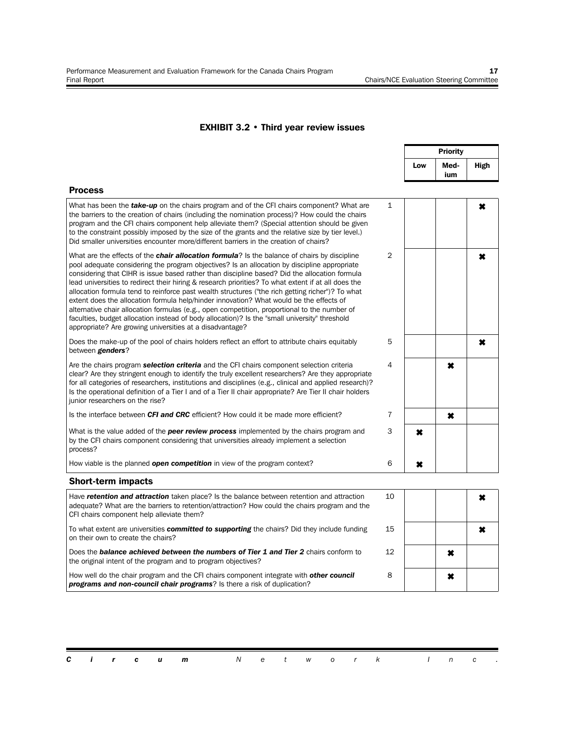#### **EXHIBIT 3.2 • Third year review issues**

|                                                                                                                                                                                                                                                                                                                                                                                                                                                                                                                                                                                                                                                                                                                                                                                                                                                                          |                |     | <b>Priority</b> |             |
|--------------------------------------------------------------------------------------------------------------------------------------------------------------------------------------------------------------------------------------------------------------------------------------------------------------------------------------------------------------------------------------------------------------------------------------------------------------------------------------------------------------------------------------------------------------------------------------------------------------------------------------------------------------------------------------------------------------------------------------------------------------------------------------------------------------------------------------------------------------------------|----------------|-----|-----------------|-------------|
|                                                                                                                                                                                                                                                                                                                                                                                                                                                                                                                                                                                                                                                                                                                                                                                                                                                                          |                | Low | Med-<br>ium     | <b>High</b> |
| <b>Process</b>                                                                                                                                                                                                                                                                                                                                                                                                                                                                                                                                                                                                                                                                                                                                                                                                                                                           |                |     |                 |             |
| What has been the <i>take-up</i> on the chairs program and of the CFI chairs component? What are<br>the barriers to the creation of chairs (including the nomination process)? How could the chairs<br>program and the CFI chairs component help alleviate them? (Special attention should be given<br>to the constraint possibly imposed by the size of the grants and the relative size by tier level.)<br>Did smaller universities encounter more/different barriers in the creation of chairs?                                                                                                                                                                                                                                                                                                                                                                       | 1              |     |                 | ×           |
| What are the effects of the <b>chair allocation formula</b> ? Is the balance of chairs by discipline<br>pool adequate considering the program objectives? Is an allocation by discipline appropriate<br>considering that CIHR is issue based rather than discipline based? Did the allocation formula<br>lead universities to redirect their hiring & research priorities? To what extent if at all does the<br>allocation formula tend to reinforce past wealth structures ("the rich getting richer")? To what<br>extent does the allocation formula help/hinder innovation? What would be the effects of<br>alternative chair allocation formulas (e.g., open competition, proportional to the number of<br>faculties, budget allocation instead of body allocation)? Is the "small university" threshold<br>appropriate? Are growing universities at a disadvantage? | $\overline{2}$ |     |                 | ×           |
| Does the make-up of the pool of chairs holders reflect an effort to attribute chairs equitably<br>between <b>genders</b> ?                                                                                                                                                                                                                                                                                                                                                                                                                                                                                                                                                                                                                                                                                                                                               | 5              |     |                 | ×           |
| Are the chairs program <b>selection criteria</b> and the CFI chairs component selection criteria<br>clear? Are they stringent enough to identify the truly excellent researchers? Are they appropriate<br>for all categories of researchers, institutions and disciplines (e.g., clinical and applied research)?<br>Is the operational definition of a Tier I and of a Tier II chair appropriate? Are Tier II chair holders<br>junior researchers on the rise?                                                                                                                                                                                                                                                                                                                                                                                                           | 4              |     | $\pmb{\times}$  |             |
| Is the interface between CFI and CRC efficient? How could it be made more efficient?                                                                                                                                                                                                                                                                                                                                                                                                                                                                                                                                                                                                                                                                                                                                                                                     | $\overline{7}$ |     | ×               |             |
| What is the value added of the <b>peer review process</b> implemented by the chairs program and<br>by the CFI chairs component considering that universities already implement a selection<br>process?                                                                                                                                                                                                                                                                                                                                                                                                                                                                                                                                                                                                                                                                   | 3              | ×   |                 |             |
| How viable is the planned <b>open competition</b> in view of the program context?                                                                                                                                                                                                                                                                                                                                                                                                                                                                                                                                                                                                                                                                                                                                                                                        | 6              | ×   |                 |             |
| <b>Short-term impacts</b>                                                                                                                                                                                                                                                                                                                                                                                                                                                                                                                                                                                                                                                                                                                                                                                                                                                |                |     |                 |             |
| Have retention and attraction taken place? Is the balance between retention and attraction<br>adequate? What are the barriers to retention/attraction? How could the chairs program and the<br>CFI chairs component help alleviate them?                                                                                                                                                                                                                                                                                                                                                                                                                                                                                                                                                                                                                                 | 10             |     |                 | ×           |
| To what extent are universities <b>committed to supporting</b> the chairs? Did they include funding<br>on their own to create the chairs?                                                                                                                                                                                                                                                                                                                                                                                                                                                                                                                                                                                                                                                                                                                                | 15             |     |                 | ×           |
| Does the <b>balance achieved between the numbers of Tier 1 and Tier 2</b> chairs conform to<br>the original intent of the program and to program objectives?                                                                                                                                                                                                                                                                                                                                                                                                                                                                                                                                                                                                                                                                                                             | 12             |     | ×               |             |
| How well do the chair program and the CFI chairs component integrate with <b>other council</b><br>programs and non-council chair programs? Is there a risk of duplication?                                                                                                                                                                                                                                                                                                                                                                                                                                                                                                                                                                                                                                                                                               | 8              |     | ×               |             |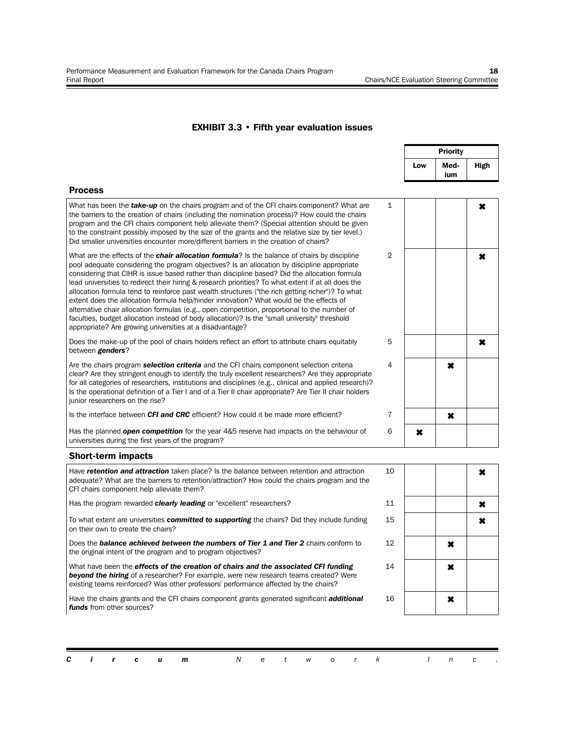#### **EXHIBIT 3.3 • Fifth year evaluation issues**

|                                                                                                                                                                                                                                                                                                                                                                                                                                                                                                                                                                                                                                                                                                                                                                                                                                                                          |                |     | <b>Priority</b> |             |
|--------------------------------------------------------------------------------------------------------------------------------------------------------------------------------------------------------------------------------------------------------------------------------------------------------------------------------------------------------------------------------------------------------------------------------------------------------------------------------------------------------------------------------------------------------------------------------------------------------------------------------------------------------------------------------------------------------------------------------------------------------------------------------------------------------------------------------------------------------------------------|----------------|-----|-----------------|-------------|
|                                                                                                                                                                                                                                                                                                                                                                                                                                                                                                                                                                                                                                                                                                                                                                                                                                                                          |                | Low | Med-<br>ium     | <b>High</b> |
| <b>Process</b>                                                                                                                                                                                                                                                                                                                                                                                                                                                                                                                                                                                                                                                                                                                                                                                                                                                           |                |     |                 |             |
| What has been the <b>take-up</b> on the chairs program and of the CFI chairs component? What are<br>the barriers to the creation of chairs (including the nomination process)? How could the chairs<br>program and the CFI chairs component help alleviate them? (Special attention should be given<br>to the constraint possibly imposed by the size of the grants and the relative size by tier level.)<br>Did smaller universities encounter more/different barriers in the creation of chairs?                                                                                                                                                                                                                                                                                                                                                                       | $\mathbf{1}$   |     |                 | ×           |
| What are the effects of the <b>chair allocation formula</b> ? Is the balance of chairs by discipline<br>pool adequate considering the program objectives? Is an allocation by discipline appropriate<br>considering that CIHR is issue based rather than discipline based? Did the allocation formula<br>lead universities to redirect their hiring & research priorities? To what extent if at all does the<br>allocation formula tend to reinforce past wealth structures ("the rich getting richer")? To what<br>extent does the allocation formula help/hinder innovation? What would be the effects of<br>alternative chair allocation formulas (e.g., open competition, proportional to the number of<br>faculties, budget allocation instead of body allocation)? Is the "small university" threshold<br>appropriate? Are growing universities at a disadvantage? | $\overline{2}$ |     |                 | ×           |
| Does the make-up of the pool of chairs holders reflect an effort to attribute chairs equitably<br>between genders?                                                                                                                                                                                                                                                                                                                                                                                                                                                                                                                                                                                                                                                                                                                                                       | 5              |     |                 | ×           |
| Are the chairs program <b>selection criteria</b> and the CFI chairs component selection criteria<br>clear? Are they stringent enough to identify the truly excellent researchers? Are they appropriate<br>for all categories of researchers, institutions and disciplines (e.g., clinical and applied research)?<br>Is the operational definition of a Tier I and of a Tier II chair appropriate? Are Tier II chair holders<br>junior researchers on the rise?                                                                                                                                                                                                                                                                                                                                                                                                           | 4              |     | ×               |             |
| Is the interface between CFI and CRC efficient? How could it be made more efficient?                                                                                                                                                                                                                                                                                                                                                                                                                                                                                                                                                                                                                                                                                                                                                                                     | $\overline{7}$ |     | ×               |             |
| Has the planned <b>open competition</b> for the year 4&5 reserve had impacts on the behaviour of<br>universities during the first years of the program?                                                                                                                                                                                                                                                                                                                                                                                                                                                                                                                                                                                                                                                                                                                  | 6              | ×   |                 |             |
| <b>Short-term impacts</b>                                                                                                                                                                                                                                                                                                                                                                                                                                                                                                                                                                                                                                                                                                                                                                                                                                                |                |     |                 |             |
| Have retention and attraction taken place? Is the balance between retention and attraction<br>adequate? What are the barriers to retention/attraction? How could the chairs program and the<br>CFI chairs component help alleviate them?                                                                                                                                                                                                                                                                                                                                                                                                                                                                                                                                                                                                                                 | 10             |     |                 | ×           |
| Has the program rewarded clearly leading or "excellent" researchers?                                                                                                                                                                                                                                                                                                                                                                                                                                                                                                                                                                                                                                                                                                                                                                                                     | 11             |     |                 | ×           |
| To what extent are universities <b>committed to supporting</b> the chairs? Did they include funding<br>on their own to create the chairs?                                                                                                                                                                                                                                                                                                                                                                                                                                                                                                                                                                                                                                                                                                                                | 15             |     |                 | ×           |
| Does the <b>balance achieved between the numbers of Tier 1 and Tier 2</b> chairs conform to<br>the original intent of the program and to program objectives?                                                                                                                                                                                                                                                                                                                                                                                                                                                                                                                                                                                                                                                                                                             | 12             |     | ×               |             |
| What have been the effects of the creation of chairs and the associated CFI funding<br><b>beyond the hiring</b> of a researcher? For example, were new research teams created? Were<br>existing teams reinforced? Was other professors' performance affected by the chairs?                                                                                                                                                                                                                                                                                                                                                                                                                                                                                                                                                                                              | 14             |     | ×               |             |
| Have the chairs grants and the CFI chairs component grants generated significant <b>additional</b><br>funds from other sources?                                                                                                                                                                                                                                                                                                                                                                                                                                                                                                                                                                                                                                                                                                                                          | 16             |     | ×               |             |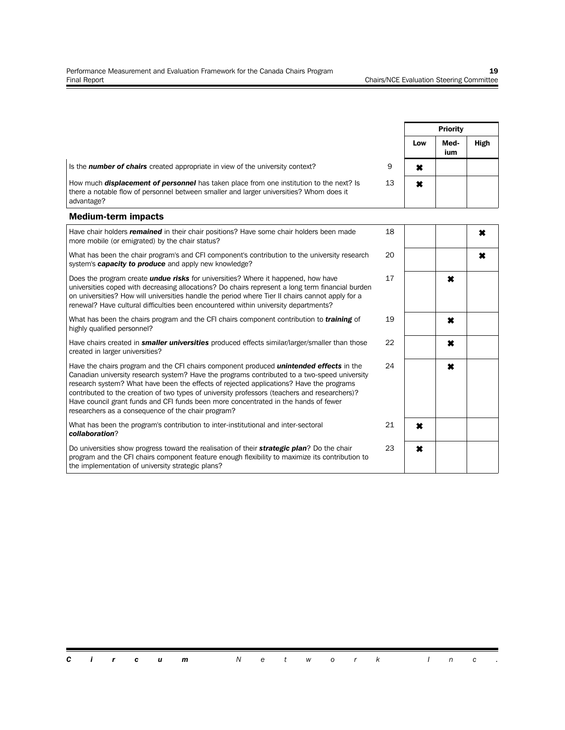|                                                                                                                                                                                                                                                                                                                                                                                                                                                                                                                                         |    |                           | <b>Priority</b><br>Med-<br>Low<br>ium<br>$\pmb{\times}$<br>$\pmb{\times}$<br>×<br>×<br>×<br>× |                |  |
|-----------------------------------------------------------------------------------------------------------------------------------------------------------------------------------------------------------------------------------------------------------------------------------------------------------------------------------------------------------------------------------------------------------------------------------------------------------------------------------------------------------------------------------------|----|---------------------------|-----------------------------------------------------------------------------------------------|----------------|--|
|                                                                                                                                                                                                                                                                                                                                                                                                                                                                                                                                         |    |                           |                                                                                               | High           |  |
| Is the <b>number of chairs</b> created appropriate in view of the university context?                                                                                                                                                                                                                                                                                                                                                                                                                                                   | 9  |                           |                                                                                               |                |  |
| How much <b>displacement of personnel</b> has taken place from one institution to the next? Is<br>there a notable flow of personnel between smaller and larger universities? Whom does it<br>advantage?                                                                                                                                                                                                                                                                                                                                 | 13 |                           |                                                                                               |                |  |
| <b>Medium-term impacts</b>                                                                                                                                                                                                                                                                                                                                                                                                                                                                                                              |    |                           |                                                                                               |                |  |
| Have chair holders <i>remained</i> in their chair positions? Have some chair holders been made<br>more mobile (or emigrated) by the chair status?                                                                                                                                                                                                                                                                                                                                                                                       | 18 |                           |                                                                                               | $\pmb{\times}$ |  |
| What has been the chair program's and CFI component's contribution to the university research<br>system's <b>capacity to produce</b> and apply new knowledge?                                                                                                                                                                                                                                                                                                                                                                           | 20 |                           |                                                                                               | $\pmb{\times}$ |  |
| Does the program create <i>undue risks</i> for universities? Where it happened, how have<br>universities coped with decreasing allocations? Do chairs represent a long term financial burden<br>on universities? How will universities handle the period where Tier II chairs cannot apply for a<br>renewal? Have cultural difficulties been encountered within university departments?                                                                                                                                                 | 17 |                           |                                                                                               |                |  |
| What has been the chairs program and the CFI chairs component contribution to <i>training</i> of<br>highly qualified personnel?                                                                                                                                                                                                                                                                                                                                                                                                         | 19 |                           |                                                                                               |                |  |
| Have chairs created in <b>smaller universities</b> produced effects similar/larger/smaller than those<br>created in larger universities?                                                                                                                                                                                                                                                                                                                                                                                                | 22 |                           |                                                                                               |                |  |
| Have the chairs program and the CFI chairs component produced <i>unintended effects</i> in the<br>Canadian university research system? Have the programs contributed to a two-speed university<br>research system? What have been the effects of rejected applications? Have the programs<br>contributed to the creation of two types of university professors (teachers and researchers)?<br>Have council grant funds and CFI funds been more concentrated in the hands of fewer<br>researchers as a consequence of the chair program? | 24 |                           |                                                                                               |                |  |
| What has been the program's contribution to inter-institutional and inter-sectoral<br>collaboration?                                                                                                                                                                                                                                                                                                                                                                                                                                    | 21 | $\boldsymbol{\mathsf{x}}$ |                                                                                               |                |  |
| Do universities show progress toward the realisation of their <b>strategic plan</b> ? Do the chair<br>program and the CFI chairs component feature enough flexibility to maximize its contribution to<br>the implementation of university strategic plans?                                                                                                                                                                                                                                                                              | 23 | $\pmb{\times}$            |                                                                                               |                |  |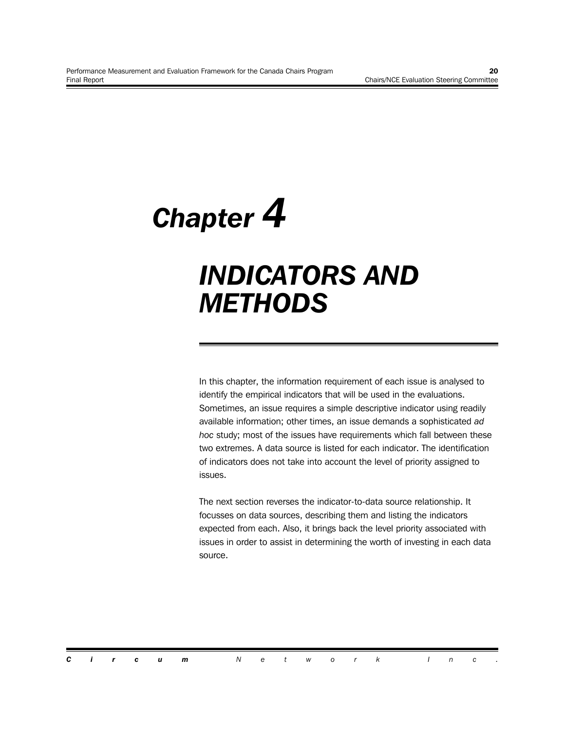*Chapter 4*

### *INDICATORS AND METHODS*

In this chapter, the information requirement of each issue is analysed to identify the empirical indicators that will be used in the evaluations. Sometimes, an issue requires a simple descriptive indicator using readily available information; other times, an issue demands a sophisticated *ad hoc* study; most of the issues have requirements which fall between these two extremes. A data source is listed for each indicator. The identification of indicators does not take into account the level of priority assigned to issues.

The next section reverses the indicator-to-data source relationship. It focusses on data sources, describing them and listing the indicators expected from each. Also, it brings back the level priority associated with issues in order to assist in determining the worth of investing in each data source.

*Circum Network Inc .*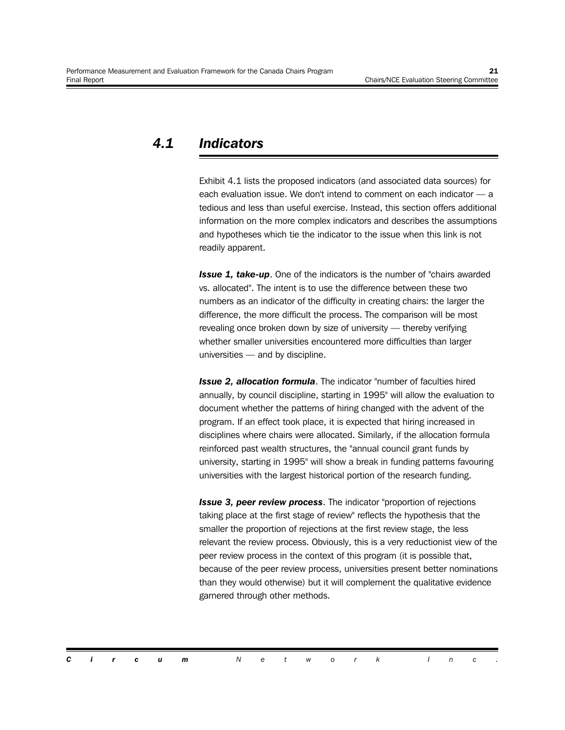#### *4.1 Indicators*

Exhibit 4.1 lists the proposed indicators (and associated data sources) for each evaluation issue. We don't intend to comment on each indicator — a tedious and less than useful exercise. Instead, this section offers additional information on the more complex indicators and describes the assumptions and hypotheses which tie the indicator to the issue when this link is not readily apparent.

**Issue 1, take-up.** One of the indicators is the number of "chairs awarded vs. allocated". The intent is to use the difference between these two numbers as an indicator of the difficulty in creating chairs: the larger the difference, the more difficult the process. The comparison will be most revealing once broken down by size of university — thereby verifying whether smaller universities encountered more difficulties than larger universities — and by discipline.

*Issue 2, allocation formula*. The indicator "number of faculties hired annually, by council discipline, starting in 1995" will allow the evaluation to document whether the patterns of hiring changed with the advent of the program. If an effect took place, it is expected that hiring increased in disciplines where chairs were allocated. Similarly, if the allocation formula reinforced past wealth structures, the "annual council grant funds by university, starting in 1995" will show a break in funding patterns favouring universities with the largest historical portion of the research funding.

*Issue 3, peer review process*. The indicator "proportion of rejections taking place at the first stage of review" reflects the hypothesis that the smaller the proportion of rejections at the first review stage, the less relevant the review process. Obviously, this is a very reductionist view of the peer review process in the context of this program (it is possible that, because of the peer review process, universities present better nominations than they would otherwise) but it will complement the qualitative evidence garnered through other methods.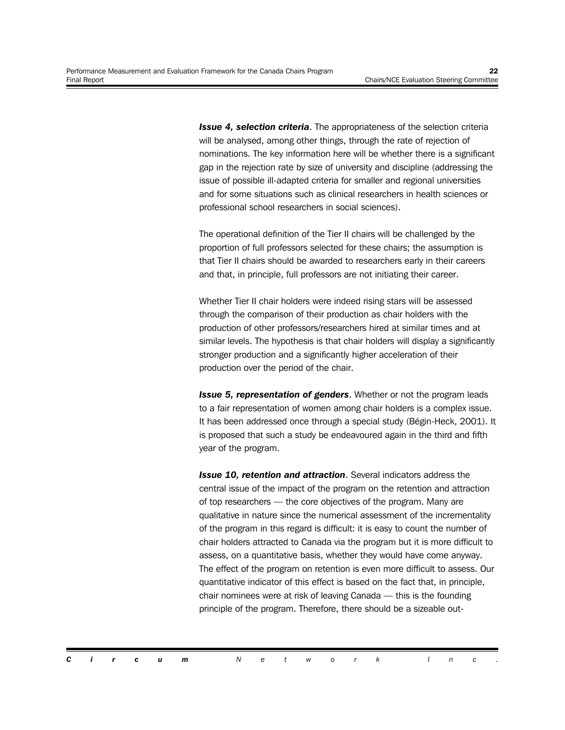**Issue 4, selection criteria**. The appropriateness of the selection criteria will be analysed, among other things, through the rate of rejection of nominations. The key information here will be whether there is a significant gap in the rejection rate by size of university and discipline (addressing the issue of possible ill-adapted criteria for smaller and regional universities and for some situations such as clinical researchers in health sciences or professional school researchers in social sciences).

The operational definition of the Tier II chairs will be challenged by the proportion of full professors selected for these chairs; the assumption is that Tier II chairs should be awarded to researchers early in their careers and that, in principle, full professors are not initiating their career.

Whether Tier II chair holders were indeed rising stars will be assessed through the comparison of their production as chair holders with the production of other professors/researchers hired at similar times and at similar levels. The hypothesis is that chair holders will display a significantly stronger production and a significantly higher acceleration of their production over the period of the chair.

*Issue 5, representation of genders*. Whether or not the program leads to a fair representation of women among chair holders is a complex issue. It has been addressed once through a special study (Bégin-Heck, 2001). It is proposed that such a study be endeavoured again in the third and fifth year of the program.

*Issue 10, retention and attraction*. Several indicators address the central issue of the impact of the program on the retention and attraction of top researchers — the core objectives of the program. Many are qualitative in nature since the numerical assessment of the incrementality of the program in this regard is difficult: it is easy to count the number of chair holders attracted to Canada via the program but it is more difficult to assess, on a quantitative basis, whether they would have come anyway. The effect of the program on retention is even more difficult to assess. Our quantitative indicator of this effect is based on the fact that, in principle, chair nominees were at risk of leaving Canada — this is the founding principle of the program. Therefore, there should be a sizeable out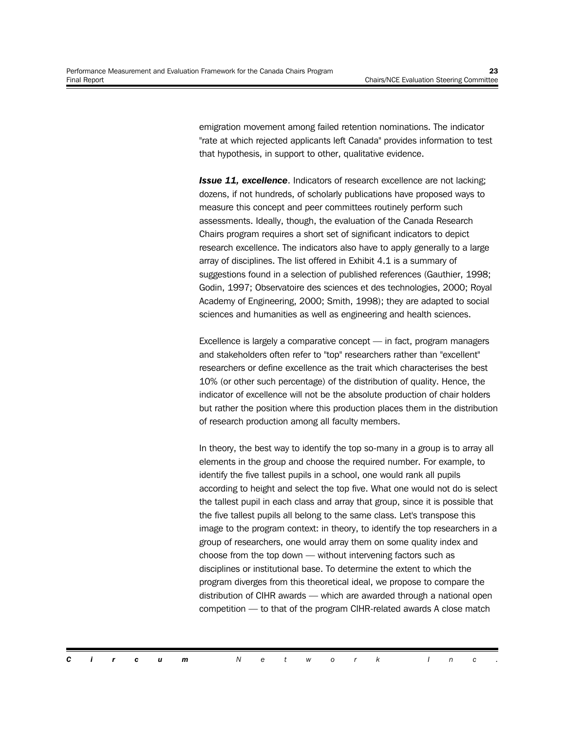emigration movement among failed retention nominations. The indicator "rate at which rejected applicants left Canada" provides information to test that hypothesis, in support to other, qualitative evidence.

**Issue 11, excellence.** Indicators of research excellence are not lacking; dozens, if not hundreds, of scholarly publications have proposed ways to measure this concept and peer committees routinely perform such assessments. Ideally, though, the evaluation of the Canada Research Chairs program requires a short set of significant indicators to depict research excellence. The indicators also have to apply generally to a large array of disciplines. The list offered in Exhibit 4.1 is a summary of suggestions found in a selection of published references (Gauthier, 1998; Godin, 1997; Observatoire des sciences et des technologies, 2000; Royal Academy of Engineering, 2000; Smith, 1998); they are adapted to social sciences and humanities as well as engineering and health sciences.

Excellence is largely a comparative concept — in fact, program managers and stakeholders often refer to "top" researchers rather than "excellent" researchers or define excellence as the trait which characterises the best 10% (or other such percentage) of the distribution of quality. Hence, the indicator of excellence will not be the absolute production of chair holders but rather the position where this production places them in the distribution of research production among all faculty members.

In theory, the best way to identify the top so-many in a group is to array all elements in the group and choose the required number. For example, to identify the five tallest pupils in a school, one would rank all pupils according to height and select the top five. What one would not do is select the tallest pupil in each class and array that group, since it is possible that the five tallest pupils all belong to the same class. Let's transpose this image to the program context: in theory, to identify the top researchers in a group of researchers, one would array them on some quality index and choose from the top down — without intervening factors such as disciplines or institutional base. To determine the extent to which the program diverges from this theoretical ideal, we propose to compare the distribution of CIHR awards — which are awarded through a national open competition — to that of the program CIHR-related awards A close match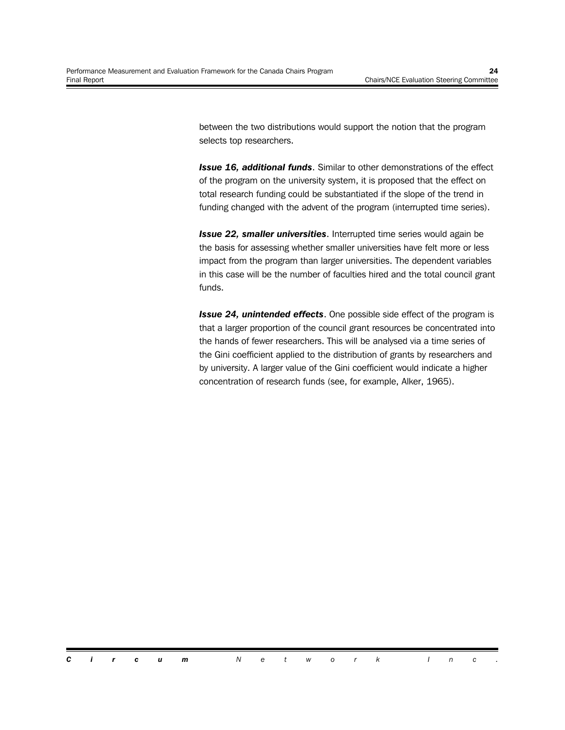between the two distributions would support the notion that the program selects top researchers.

*Issue 16, additional funds*. Similar to other demonstrations of the effect of the program on the university system, it is proposed that the effect on total research funding could be substantiated if the slope of the trend in funding changed with the advent of the program (interrupted time series).

*Issue 22, smaller universities*. Interrupted time series would again be the basis for assessing whether smaller universities have felt more or less impact from the program than larger universities. The dependent variables in this case will be the number of faculties hired and the total council grant funds.

*Issue 24, unintended effects*. One possible side effect of the program is that a larger proportion of the council grant resources be concentrated into the hands of fewer researchers. This will be analysed via a time series of the Gini coefficient applied to the distribution of grants by researchers and by university. A larger value of the Gini coefficient would indicate a higher concentration of research funds (see, for example, Alker, 1965).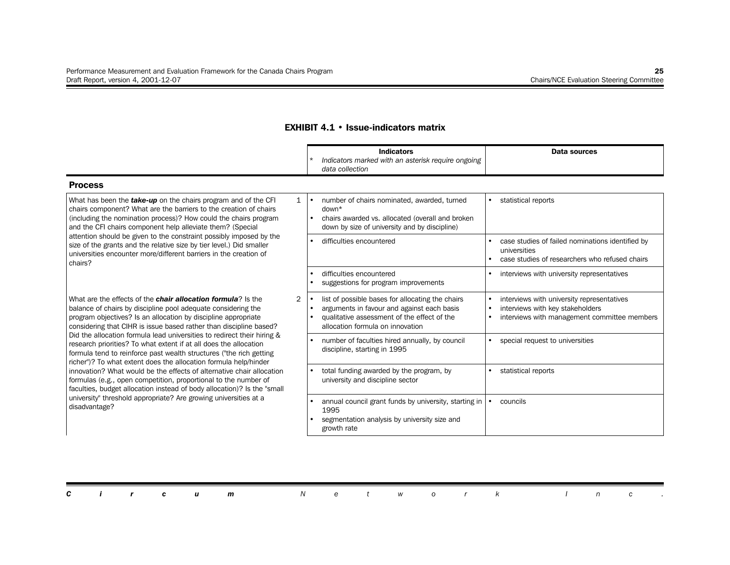#### **EXHIBIT 4.1 • Issue-indicators matrix**

|                                                                                                                                                                                                                                                                                                                                                                              |                | <b>Indicators</b><br>Indicators marked with an asterisk require ongoing<br>data collection                                                                                        |           | Data sources                                                                                                                   |
|------------------------------------------------------------------------------------------------------------------------------------------------------------------------------------------------------------------------------------------------------------------------------------------------------------------------------------------------------------------------------|----------------|-----------------------------------------------------------------------------------------------------------------------------------------------------------------------------------|-----------|--------------------------------------------------------------------------------------------------------------------------------|
| <b>Process</b>                                                                                                                                                                                                                                                                                                                                                               |                |                                                                                                                                                                                   |           |                                                                                                                                |
| What has been the take-up on the chairs program and of the CFI<br>chairs component? What are the barriers to the creation of chairs<br>(including the nomination process)? How could the chairs program<br>and the CFI chairs component help alleviate them? (Special                                                                                                        | $\mathbf{1}$   | number of chairs nominated, awarded, turned<br>$down*$<br>chairs awarded vs. allocated (overall and broken<br>down by size of university and by discipline)                       | $\bullet$ | statistical reports                                                                                                            |
| attention should be given to the constraint possibly imposed by the<br>size of the grants and the relative size by tier level.) Did smaller<br>universities encounter more/different barriers in the creation of<br>chairs?                                                                                                                                                  |                | difficulties encountered                                                                                                                                                          |           | case studies of failed nominations identified by<br>universities<br>case studies of researchers who refused chairs             |
|                                                                                                                                                                                                                                                                                                                                                                              |                | difficulties encountered<br>suggestions for program improvements                                                                                                                  |           | interviews with university representatives                                                                                     |
| What are the effects of the <b>chair allocation formula</b> ? Is the<br>balance of chairs by discipline pool adequate considering the<br>program objectives? Is an allocation by discipline appropriate<br>considering that CIHR is issue based rather than discipline based?                                                                                                | $\overline{2}$ | list of possible bases for allocating the chairs<br>arguments in favour and against each basis<br>qualitative assessment of the effect of the<br>allocation formula on innovation |           | interviews with university representatives<br>interviews with key stakeholders<br>interviews with management committee members |
| Did the allocation formula lead universities to redirect their hiring &<br>research priorities? To what extent if at all does the allocation<br>formula tend to reinforce past wealth structures ("the rich getting                                                                                                                                                          |                | number of faculties hired annually, by council<br>discipline, starting in 1995                                                                                                    |           | special request to universities                                                                                                |
| richer")? To what extent does the allocation formula help/hinder<br>innovation? What would be the effects of alternative chair allocation<br>formulas (e.g., open competition, proportional to the number of<br>faculties, budget allocation instead of body allocation)? Is the "small<br>university" threshold appropriate? Are growing universities at a<br>disadvantage? |                | total funding awarded by the program, by<br>university and discipline sector                                                                                                      |           | statistical reports                                                                                                            |
|                                                                                                                                                                                                                                                                                                                                                                              |                | annual council grant funds by university, starting in<br>1995<br>segmentation analysis by university size and<br>growth rate                                                      |           | councils                                                                                                                       |

|  |  | <b>Circum</b> Network Inc. |  |  |  |  |  |  |
|--|--|----------------------------|--|--|--|--|--|--|
|  |  |                            |  |  |  |  |  |  |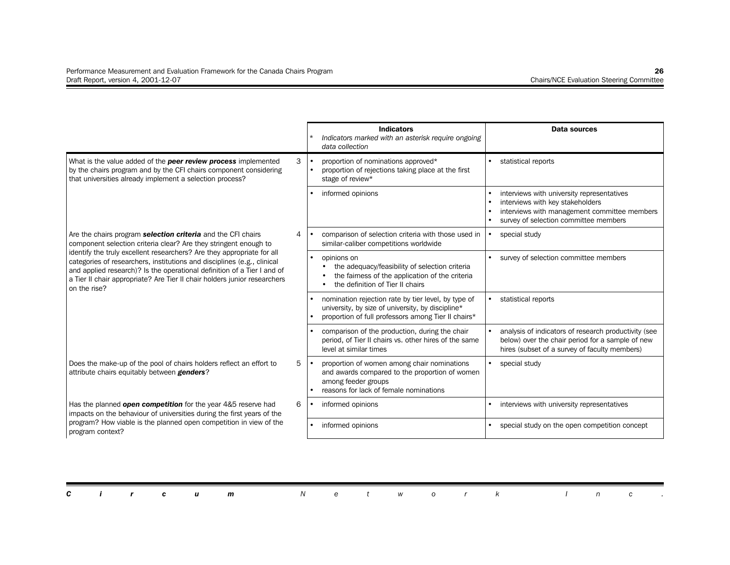|                                                                                                                                                                                                                                                                                                                           |   | <b>Indicators</b><br>Indicators marked with an asterisk require ongoing<br>data collection                                                                      | Data sources                                                                                                                                                            |
|---------------------------------------------------------------------------------------------------------------------------------------------------------------------------------------------------------------------------------------------------------------------------------------------------------------------------|---|-----------------------------------------------------------------------------------------------------------------------------------------------------------------|-------------------------------------------------------------------------------------------------------------------------------------------------------------------------|
| What is the value added of the peer review process implemented<br>by the chairs program and by the CFI chairs component considering<br>that universities already implement a selection process?                                                                                                                           | 3 | proportion of nominations approved*<br>proportion of rejections taking place at the first<br>stage of review*                                                   | statistical reports                                                                                                                                                     |
|                                                                                                                                                                                                                                                                                                                           |   | informed opinions                                                                                                                                               | interviews with university representatives<br>interviews with key stakeholders<br>interviews with management committee members<br>survey of selection committee members |
| Are the chairs program <b>selection criteria</b> and the CFI chairs<br>component selection criteria clear? Are they stringent enough to                                                                                                                                                                                   | 4 | comparison of selection criteria with those used in<br>similar-caliber competitions worldwide                                                                   | special study                                                                                                                                                           |
| identify the truly excellent researchers? Are they appropriate for all<br>categories of researchers, institutions and disciplines (e.g., clinical<br>and applied research)? Is the operational definition of a Tier I and of<br>a Tier II chair appropriate? Are Tier II chair holders junior researchers<br>on the rise? |   | opinions on<br>the adequacy/feasibility of selection criteria<br>the fairness of the application of the criteria<br>the definition of Tier II chairs            | survey of selection committee members                                                                                                                                   |
|                                                                                                                                                                                                                                                                                                                           |   | nomination rejection rate by tier level, by type of<br>university, by size of university, by discipline*<br>proportion of full professors among Tier II chairs* | statistical reports                                                                                                                                                     |
|                                                                                                                                                                                                                                                                                                                           |   | comparison of the production, during the chair<br>period, of Tier II chairs vs. other hires of the same<br>level at similar times                               | analysis of indicators of research productivity (see<br>below) over the chair period for a sample of new<br>hires (subset of a survey of faculty members)               |
| Does the make-up of the pool of chairs holders reflect an effort to<br>attribute chairs equitably between <b>genders</b> ?                                                                                                                                                                                                | 5 | proportion of women among chair nominations<br>and awards compared to the proportion of women<br>among feeder groups<br>reasons for lack of female nominations  | special study                                                                                                                                                           |
| Has the planned open competition for the year 4&5 reserve had<br>impacts on the behaviour of universities during the first years of the                                                                                                                                                                                   | 6 | informed opinions                                                                                                                                               | interviews with university representatives                                                                                                                              |
| program? How viable is the planned open competition in view of the<br>program context?                                                                                                                                                                                                                                    |   | informed opinions                                                                                                                                               | special study on the open competition concept                                                                                                                           |

|  |  | <b>Circum</b> Network Inc. |  |  |  |  |  |  |
|--|--|----------------------------|--|--|--|--|--|--|
|  |  |                            |  |  |  |  |  |  |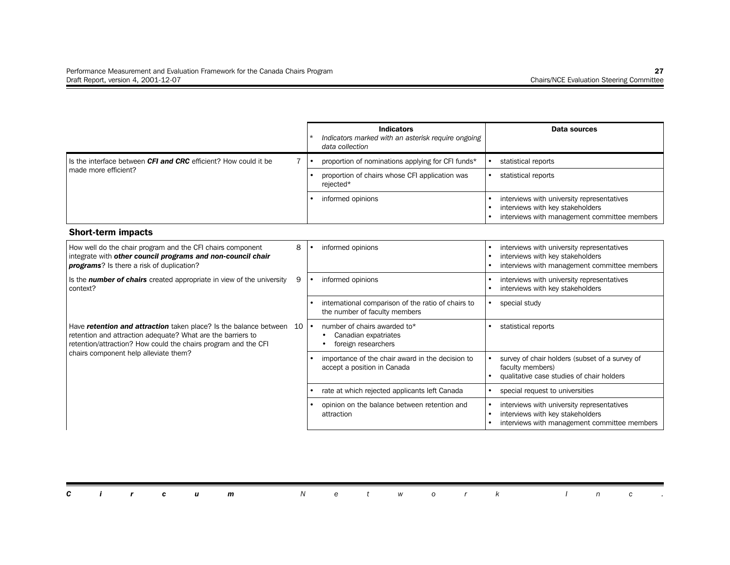|                                                                                                                                                                                                    |    |           | <b>Indicators</b><br>Indicators marked with an asterisk require ongoing<br>data collection |           | <b>Data sources</b>                                                                                                            |
|----------------------------------------------------------------------------------------------------------------------------------------------------------------------------------------------------|----|-----------|--------------------------------------------------------------------------------------------|-----------|--------------------------------------------------------------------------------------------------------------------------------|
| Is the interface between CFI and CRC efficient? How could it be                                                                                                                                    | 7  |           | proportion of nominations applying for CFI funds*                                          |           | statistical reports                                                                                                            |
| made more efficient?                                                                                                                                                                               |    |           | proportion of chairs whose CFI application was<br>rejected*                                | $\bullet$ | statistical reports                                                                                                            |
|                                                                                                                                                                                                    |    |           | informed opinions                                                                          |           | interviews with university representatives<br>interviews with key stakeholders<br>interviews with management committee members |
| <b>Short-term impacts</b>                                                                                                                                                                          |    |           |                                                                                            |           |                                                                                                                                |
| How well do the chair program and the CFI chairs component<br>integrate with other council programs and non-council chair<br><b>programs</b> ? Is there a risk of duplication?                     | 8  |           | informed opinions                                                                          |           | interviews with university representatives<br>interviews with key stakeholders<br>interviews with management committee members |
| Is the <b>number of chairs</b> created appropriate in view of the university<br>context?                                                                                                           | 9  |           | informed opinions                                                                          |           | interviews with university representatives<br>interviews with key stakeholders                                                 |
|                                                                                                                                                                                                    |    |           | international comparison of the ratio of chairs to<br>the number of faculty members        | $\bullet$ | special study                                                                                                                  |
| Have retention and attraction taken place? Is the balance between<br>retention and attraction adequate? What are the barriers to<br>retention/attraction? How could the chairs program and the CFI | 10 | $\bullet$ | number of chairs awarded to*<br>Canadian expatriates<br>foreign researchers                |           | statistical reports                                                                                                            |
| chairs component help alleviate them?                                                                                                                                                              |    |           | importance of the chair award in the decision to<br>accept a position in Canada            |           | survey of chair holders (subset of a survey of<br>faculty members)<br>qualitative case studies of chair holders                |
|                                                                                                                                                                                                    |    |           | rate at which rejected applicants left Canada                                              |           | special request to universities                                                                                                |
|                                                                                                                                                                                                    |    |           | opinion on the balance between retention and<br>attraction                                 |           | interviews with university representatives<br>interviews with key stakeholders<br>interviews with management committee members |

|  |  |  | <b>Circum</b> Network Inc. |  |  |  |  |  |  |
|--|--|--|----------------------------|--|--|--|--|--|--|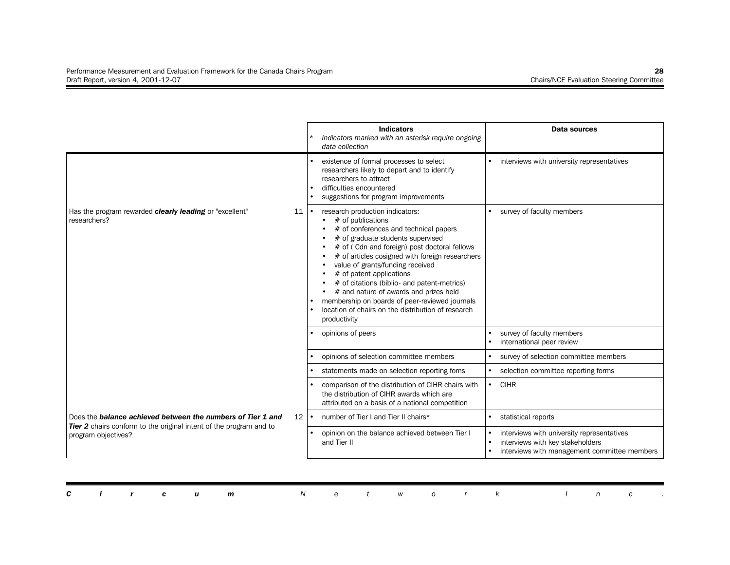|                                                                                                  |           | <b>Indicators</b><br>Indicators marked with an asterisk require ongoing<br>data collection                                                                                                                                                                                                                                                                                                                                                                                                                               |           | Data sources                                                                                                                   |
|--------------------------------------------------------------------------------------------------|-----------|--------------------------------------------------------------------------------------------------------------------------------------------------------------------------------------------------------------------------------------------------------------------------------------------------------------------------------------------------------------------------------------------------------------------------------------------------------------------------------------------------------------------------|-----------|--------------------------------------------------------------------------------------------------------------------------------|
|                                                                                                  |           | existence of formal processes to select<br>researchers likely to depart and to identify<br>researchers to attract<br>difficulties encountered<br>suggestions for program improvements                                                                                                                                                                                                                                                                                                                                    |           | interviews with university representatives                                                                                     |
| Has the program rewarded <b>clearly leading</b> or "excellent"<br>11<br>researchers?             |           | research production indicators:<br>$#$ of publications<br># of conferences and technical papers<br># of graduate students supervised<br># of (Cdn and foreign) post doctoral fellows<br># of articles cosigned with foreign researchers<br>value of grants/funding received<br># of patent applications<br># of citations (biblio- and patent-metrics)<br># and nature of awards and prizes held<br>membership on boards of peer-reviewed journals<br>location of chairs on the distribution of research<br>productivity |           | survey of faculty members                                                                                                      |
|                                                                                                  |           | opinions of peers                                                                                                                                                                                                                                                                                                                                                                                                                                                                                                        |           | survey of faculty members<br>international peer review                                                                         |
|                                                                                                  |           | opinions of selection committee members                                                                                                                                                                                                                                                                                                                                                                                                                                                                                  |           | survey of selection committee members                                                                                          |
|                                                                                                  |           | statements made on selection reporting foms                                                                                                                                                                                                                                                                                                                                                                                                                                                                              |           | selection committee reporting forms                                                                                            |
|                                                                                                  |           | comparison of the distribution of CIHR chairs with<br>the distribution of CIHR awards which are<br>attributed on a basis of a national competition                                                                                                                                                                                                                                                                                                                                                                       | $\bullet$ | <b>CIHR</b>                                                                                                                    |
| Does the <b>balance achieved between the numbers of Tier 1 and</b><br>12 <sup>°</sup>            | $\bullet$ | number of Tier I and Tier II chairs*                                                                                                                                                                                                                                                                                                                                                                                                                                                                                     |           | statistical reports                                                                                                            |
| <b>Tier 2</b> chairs conform to the original intent of the program and to<br>program objectives? |           | opinion on the balance achieved between Tier I<br>and Tier II                                                                                                                                                                                                                                                                                                                                                                                                                                                            |           | interviews with university representatives<br>interviews with key stakeholders<br>interviews with management committee members |

|  |  |  | <b>Circum</b> Network Inc. |  |  |  |  |  |  |
|--|--|--|----------------------------|--|--|--|--|--|--|
|  |  |  |                            |  |  |  |  |  |  |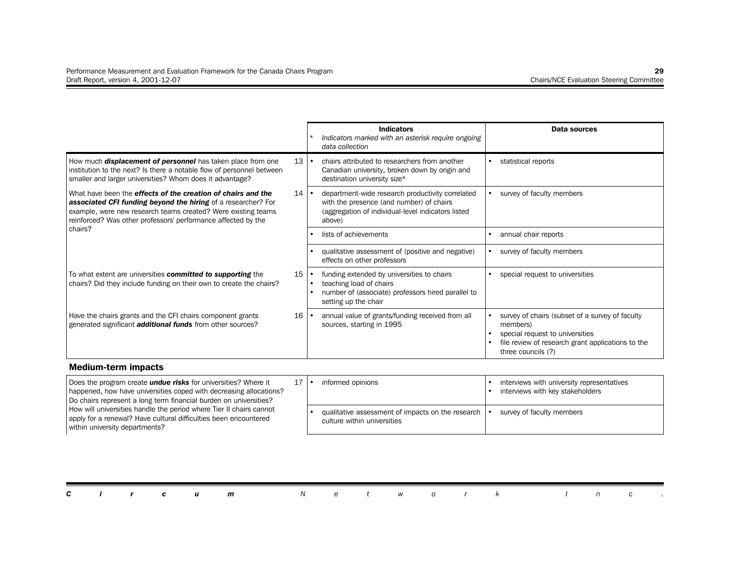|                                                                                                                                                                                                                                                                        |    | <b>Indicators</b><br>Indicators marked with an asterisk require ongoing<br>data collection                                                                   | Data sources                                                                                                                                                              |
|------------------------------------------------------------------------------------------------------------------------------------------------------------------------------------------------------------------------------------------------------------------------|----|--------------------------------------------------------------------------------------------------------------------------------------------------------------|---------------------------------------------------------------------------------------------------------------------------------------------------------------------------|
| How much <b>displacement of personnel</b> has taken place from one<br>institution to the next? Is there a notable flow of personnel between<br>smaller and larger universities? Whom does it advantage?                                                                | 13 | chairs attributed to researchers from another<br>Canadian university, broken down by origin and<br>destination university size*                              | statistical reports                                                                                                                                                       |
| What have been the <b>effects of the creation of chairs and the</b><br>associated CFI funding beyond the hiring of a researcher? For<br>example, were new research teams created? Were existing teams<br>reinforced? Was other professors' performance affected by the | 14 | department-wide research productivity correlated<br>with the presence (and number) of chairs<br>(aggregation of individual-level indicators listed<br>above) | survey of faculty members                                                                                                                                                 |
| chairs?                                                                                                                                                                                                                                                                |    | lists of achievements                                                                                                                                        | annual chair reports                                                                                                                                                      |
|                                                                                                                                                                                                                                                                        |    | qualitative assessment of (positive and negative)<br>effects on other professors                                                                             | survey of faculty members                                                                                                                                                 |
| To what extent are universities committed to supporting the<br>chairs? Did they include funding on their own to create the chairs?                                                                                                                                     | 15 | funding extended by universities to chairs<br>teaching load of chairs<br>number of (associate) professors hired parallel to<br>setting up the chair          | special request to universities                                                                                                                                           |
| Have the chairs grants and the CFI chairs component grants<br>generated significant <b>additional funds</b> from other sources?                                                                                                                                        | 16 | annual value of grants/funding received from all<br>sources, starting in 1995                                                                                | survey of chairs (subset of a survey of faculty<br>members)<br>special request to universities<br>file review of research grant applications to the<br>three councils (?) |

#### **Medium-term impacts**

| Does the program create <b>undue risks</b> for universities? Where it<br>happened, how have universities coped with decreasing allocations?<br>Do chairs represent a long term financial burden on universities? |  | informed opinions                                                                | interviews with university representatives<br>interviews with key stakeholders |
|------------------------------------------------------------------------------------------------------------------------------------------------------------------------------------------------------------------|--|----------------------------------------------------------------------------------|--------------------------------------------------------------------------------|
| How will universities handle the period where Tier II chairs cannot<br>apply for a renewal? Have cultural difficulties been encountered<br>within university departments?                                        |  | qualitative assessment of impacts on the research<br>culture within universities | survey of faculty members                                                      |

|  |  | <b>Circum</b> Network Inc. |  |  |  |  |  |  |
|--|--|----------------------------|--|--|--|--|--|--|
|  |  |                            |  |  |  |  |  |  |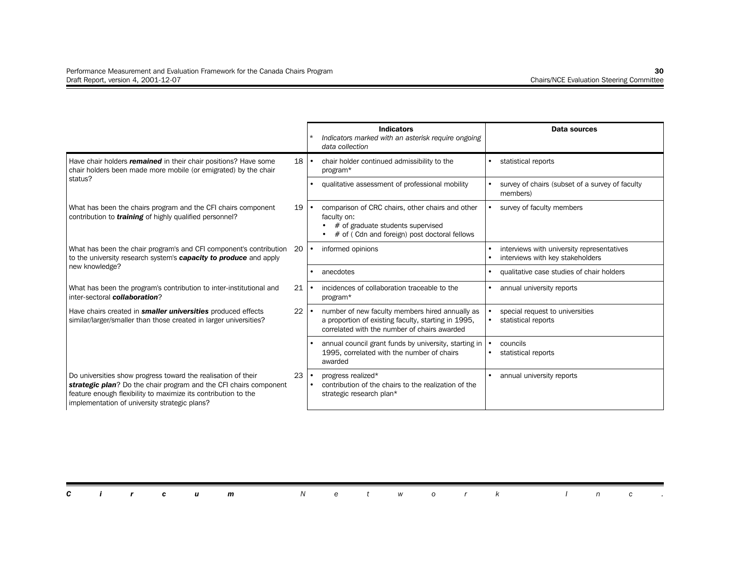|                                                                                                                                                                                                                                                       |    | <b>Indicators</b><br>Indicators marked with an asterisk require ongoing<br>data collection                                                             | Data sources                                                                   |
|-------------------------------------------------------------------------------------------------------------------------------------------------------------------------------------------------------------------------------------------------------|----|--------------------------------------------------------------------------------------------------------------------------------------------------------|--------------------------------------------------------------------------------|
| Have chair holders <i>remained</i> in their chair positions? Have some<br>chair holders been made more mobile (or emigrated) by the chair                                                                                                             | 18 | chair holder continued admissibility to the<br>program*                                                                                                | statistical reports                                                            |
| status?                                                                                                                                                                                                                                               |    | qualitative assessment of professional mobility                                                                                                        | survey of chairs (subset of a survey of faculty<br>members)                    |
| What has been the chairs program and the CFI chairs component<br>contribution to <b>training</b> of highly qualified personnel?                                                                                                                       | 19 | comparison of CRC chairs, other chairs and other<br>faculty on:<br># of graduate students supervised<br># of (Cdn and foreign) post doctoral fellows   | survey of faculty members                                                      |
| What has been the chair program's and CFI component's contribution 20<br>to the university research system's <b>capacity to produce</b> and apply                                                                                                     |    | informed opinions                                                                                                                                      | interviews with university representatives<br>interviews with key stakeholders |
| new knowledge?                                                                                                                                                                                                                                        |    | anecdotes                                                                                                                                              | qualitative case studies of chair holders                                      |
| What has been the program's contribution to inter-institutional and<br>inter-sectoral collaboration?                                                                                                                                                  | 21 | incidences of collaboration traceable to the<br>program*                                                                                               | annual university reports                                                      |
| Have chairs created in smaller universities produced effects<br>similar/larger/smaller than those created in larger universities?                                                                                                                     | 22 | number of new faculty members hired annually as<br>a proportion of existing faculty, starting in 1995,<br>correlated with the number of chairs awarded | special request to universities<br>statistical reports                         |
|                                                                                                                                                                                                                                                       |    | annual council grant funds by university, starting in<br>1995, correlated with the number of chairs<br>awarded                                         | councils<br>statistical reports                                                |
| Do universities show progress toward the realisation of their<br>strategic plan? Do the chair program and the CFI chairs component<br>feature enough flexibility to maximize its contribution to the<br>implementation of university strategic plans? | 23 | progress realized*<br>contribution of the chairs to the realization of the<br>strategic research plan*                                                 | annual university reports                                                      |

|  |  |  |  |  |  |  | <b>Circum</b> Network Inc. |  |  |  |  |  |  |  |  |  |  |  |
|--|--|--|--|--|--|--|----------------------------|--|--|--|--|--|--|--|--|--|--|--|
|--|--|--|--|--|--|--|----------------------------|--|--|--|--|--|--|--|--|--|--|--|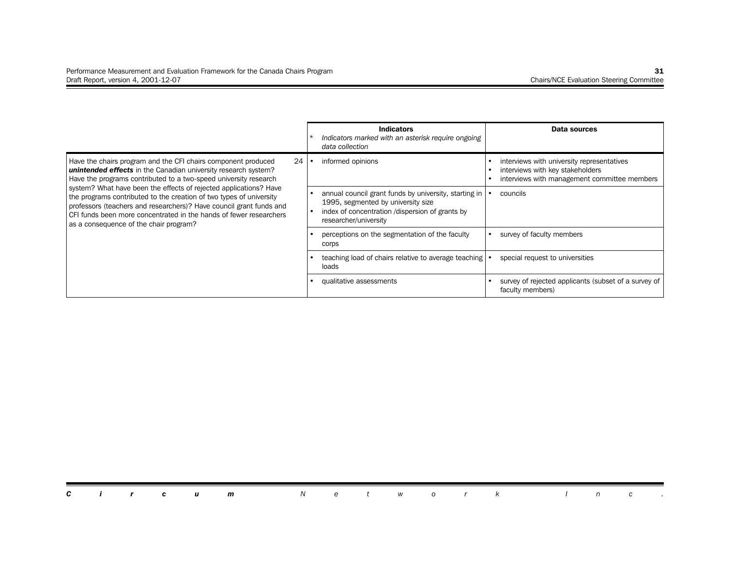|                                                                                                                                                                                                                                                                                                                                 | <b>Indicators</b><br>Indicators marked with an asterisk require ongoing<br>data collection                                                                              | Data sources                                                                                                                   |
|---------------------------------------------------------------------------------------------------------------------------------------------------------------------------------------------------------------------------------------------------------------------------------------------------------------------------------|-------------------------------------------------------------------------------------------------------------------------------------------------------------------------|--------------------------------------------------------------------------------------------------------------------------------|
| Have the chairs program and the CFI chairs component produced<br>24<br>unintended effects in the Canadian university research system?<br>Have the programs contributed to a two-speed university research                                                                                                                       | informed opinions                                                                                                                                                       | interviews with university representatives<br>interviews with key stakeholders<br>interviews with management committee members |
| system? What have been the effects of rejected applications? Have<br>the programs contributed to the creation of two types of university<br>professors (teachers and researchers)? Have council grant funds and<br>CFI funds been more concentrated in the hands of fewer researchers<br>as a consequence of the chair program? | annual council grant funds by university, starting in<br>1995, segmented by university size<br>index of concentration /dispersion of grants by<br>researcher/university | councils                                                                                                                       |
|                                                                                                                                                                                                                                                                                                                                 | perceptions on the segmentation of the faculty<br>corps                                                                                                                 | survey of faculty members                                                                                                      |
|                                                                                                                                                                                                                                                                                                                                 | teaching load of chairs relative to average teaching<br>loads                                                                                                           | special request to universities                                                                                                |
|                                                                                                                                                                                                                                                                                                                                 | qualitative assessments                                                                                                                                                 | survey of rejected applicants (subset of a survey of<br>faculty members)                                                       |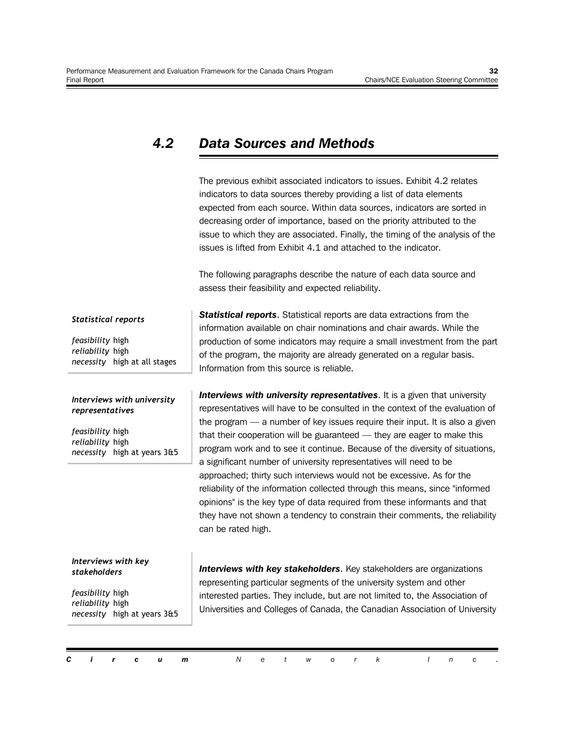#### *4.2 Data Sources and Methods*

The previous exhibit associated indicators to issues. Exhibit 4.2 relates indicators to data sources thereby providing a list of data elements expected from each source. Within data sources, indicators are sorted in decreasing order of importance, based on the priority attributed to the issue to which they are associated. Finally, the timing of the analysis of the issues is lifted from Exhibit 4.1 and attached to the indicator.

The following paragraphs describe the nature of each data source and assess their feasibility and expected reliability.

#### *Statistical reports*

*feasibility* high *reliability* high *necessity* high at all stages

#### *Interviews with university representatives*

*feasibility* high *reliability* high *necessity* high at years 3&5

#### *Interviews with key stakeholders*

*feasibility* high *reliability* high *necessity* high at years 3&5 *Statistical reports*. Statistical reports are data extractions from the information available on chair nominations and chair awards. While the production of some indicators may require a small investment from the part of the program, the majority are already generated on a regular basis. Information from this source is reliable.

*Interviews with university representatives*. It is a given that university representatives will have to be consulted in the context of the evaluation of the program — a number of key issues require their input. It is also a given that their cooperation will be guaranteed — they are eager to make this program work and to see it continue. Because of the diversity of situations, a significant number of university representatives will need to be approached; thirty such interviews would not be excessive. As for the reliability of the information collected through this means, since "informed opinions" is the key type of data required from these informants and that they have not shown a tendency to constrain their comments, the reliability can be rated high.

**Interviews with key stakeholders.** Key stakeholders are organizations representing particular segments of the university system and other interested parties. They include, but are not limited to, the Association of Universities and Colleges of Canada, the Canadian Association of University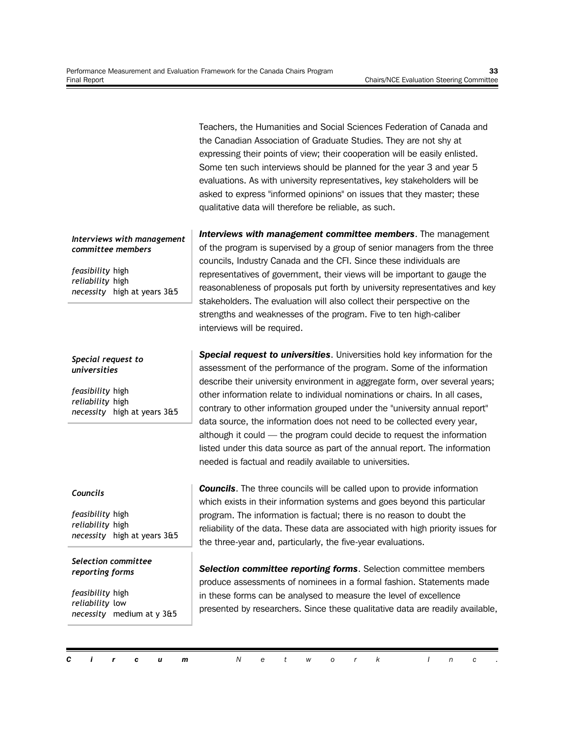Teachers, the Humanities and Social Sciences Federation of Canada and the Canadian Association of Graduate Studies. They are not shy at expressing their points of view; their cooperation will be easily enlisted. Some ten such interviews should be planned for the year 3 and year 5 evaluations. As with university representatives, key stakeholders will be asked to express "informed opinions" on issues that they master; these qualitative data will therefore be reliable, as such.

*Interviews with management committee members*. The management of the program is supervised by a group of senior managers from the three councils, Industry Canada and the CFI. Since these individuals are representatives of government, their views will be important to gauge the reasonableness of proposals put forth by university representatives and key stakeholders. The evaluation will also collect their perspective on the strengths and weaknesses of the program. Five to ten high-caliber interviews will be required.

*Special request to universities*. Universities hold key information for the assessment of the performance of the program. Some of the information describe their university environment in aggregate form, over several years; other information relate to individual nominations or chairs. In all cases, contrary to other information grouped under the "university annual report" data source, the information does not need to be collected every year, although it could — the program could decide to request the information listed under this data source as part of the annual report. The information needed is factual and readily available to universities.

#### *Councils*

*feasibility* high *reliability* high *necessity* high at years 3&5

*necessity* high at years 3&5

*Interviews with management*

*necessity* high at years 3&5

*committee members*

*feasibility* high *reliability* high

*Special request to universities*

*feasibility* high *reliability* high

*Selection committee reporting forms*

*feasibility* high *reliability* low *necessity* medium at y 3&5 **Councils**. The three councils will be called upon to provide information which exists in their information systems and goes beyond this particular program. The information is factual; there is no reason to doubt the reliability of the data. These data are associated with high priority issues for the three-year and, particularly, the five-year evaluations.

*Selection committee reporting forms*. Selection committee members produce assessments of nominees in a formal fashion. Statements made in these forms can be analysed to measure the level of excellence presented by researchers. Since these qualitative data are readily available,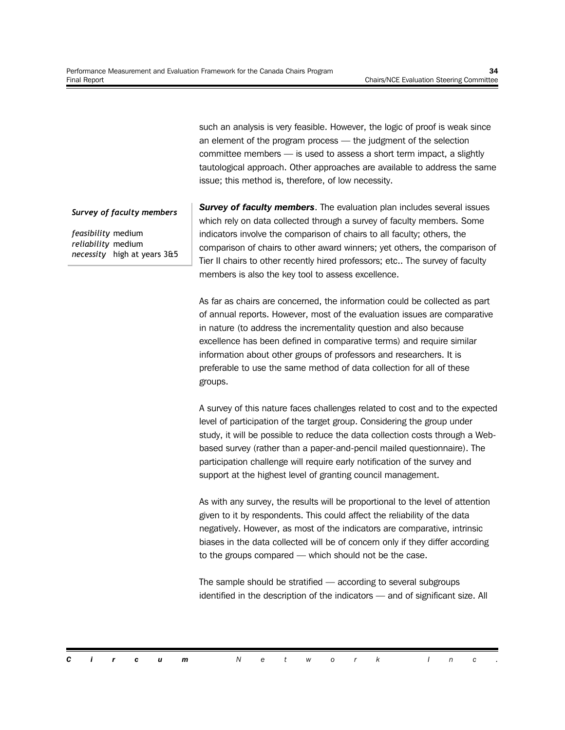such an analysis is very feasible. However, the logic of proof is weak since an element of the program process — the judgment of the selection committee members — is used to assess a short term impact, a slightly tautological approach. Other approaches are available to address the same issue; this method is, therefore, of low necessity.

#### *Survey of faculty members*

*feasibility* medium *reliability* medium *necessity* high at years 3&5 **Survey of faculty members.** The evaluation plan includes several issues which rely on data collected through a survey of faculty members. Some indicators involve the comparison of chairs to all faculty; others, the comparison of chairs to other award winners; yet others, the comparison of Tier II chairs to other recently hired professors; etc.. The survey of faculty members is also the key tool to assess excellence.

As far as chairs are concerned, the information could be collected as part of annual reports. However, most of the evaluation issues are comparative in nature (to address the incrementality question and also because excellence has been defined in comparative terms) and require similar information about other groups of professors and researchers. It is preferable to use the same method of data collection for all of these groups.

A survey of this nature faces challenges related to cost and to the expected level of participation of the target group. Considering the group under study, it will be possible to reduce the data collection costs through a Webbased survey (rather than a paper-and-pencil mailed questionnaire). The participation challenge will require early notification of the survey and support at the highest level of granting council management.

As with any survey, the results will be proportional to the level of attention given to it by respondents. This could affect the reliability of the data negatively. However, as most of the indicators are comparative, intrinsic biases in the data collected will be of concern only if they differ according to the groups compared — which should not be the case.

The sample should be stratified — according to several subgroups identified in the description of the indicators — and of significant size. All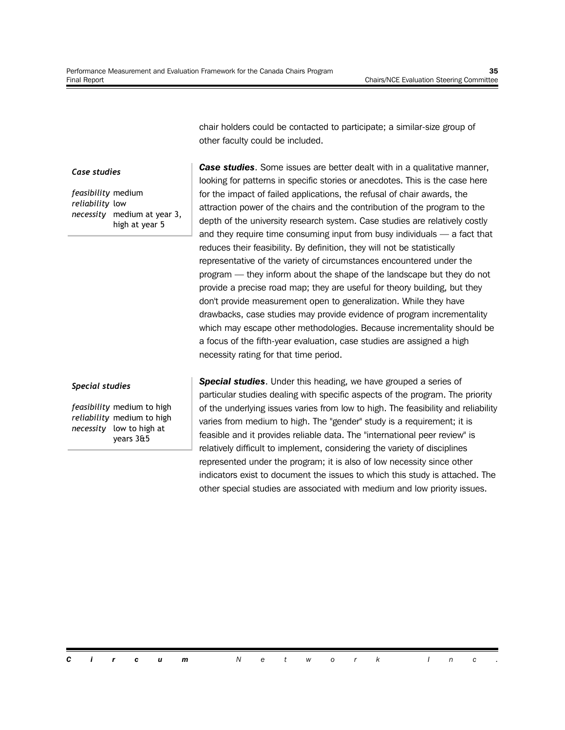chair holders could be contacted to participate; a similar-size group of other faculty could be included.

#### *Case studies*

*feasibility* medium *reliability* low *necessity* medium at year 3, high at year 5

*Case studies*. Some issues are better dealt with in a qualitative manner, looking for patterns in specific stories or anecdotes. This is the case here for the impact of failed applications, the refusal of chair awards, the attraction power of the chairs and the contribution of the program to the depth of the university research system. Case studies are relatively costly and they require time consuming input from busy individuals — a fact that reduces their feasibility. By definition, they will not be statistically representative of the variety of circumstances encountered under the program — they inform about the shape of the landscape but they do not provide a precise road map; they are useful for theory building, but they don't provide measurement open to generalization. While they have drawbacks, case studies may provide evidence of program incrementality which may escape other methodologies. Because incrementality should be a focus of the fifth-year evaluation, case studies are assigned a high necessity rating for that time period.

#### *Special studies*

*feasibility* medium to high *reliability* medium to high *necessity* low to high at years 3&5

*Special studies*. Under this heading, we have grouped a series of particular studies dealing with specific aspects of the program. The priority of the underlying issues varies from low to high. The feasibility and reliability varies from medium to high. The "gender" study is a requirement; it is feasible and it provides reliable data. The "international peer review" is relatively difficult to implement, considering the variety of disciplines represented under the program; it is also of low necessity since other indicators exist to document the issues to which this study is attached. The other special studies are associated with medium and low priority issues.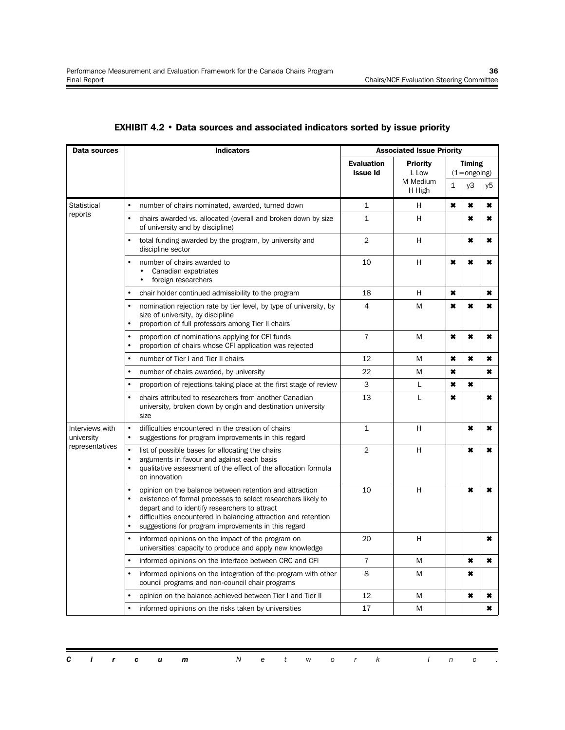| Data sources                  | <b>Indicators</b>                                                                                                                                                                                                                                                                                                                                      |                                      | <b>Associated Issue Priority</b>     |                     |                                         |    |
|-------------------------------|--------------------------------------------------------------------------------------------------------------------------------------------------------------------------------------------------------------------------------------------------------------------------------------------------------------------------------------------------------|--------------------------------------|--------------------------------------|---------------------|-----------------------------------------|----|
|                               |                                                                                                                                                                                                                                                                                                                                                        | <b>Evaluation</b><br><b>Issue Id</b> | <b>Priority</b><br>L Low<br>M Medium |                     | <b>Timing</b><br>$(1 = \text{ongoing})$ |    |
|                               |                                                                                                                                                                                                                                                                                                                                                        |                                      | H High                               | $\mathbf{1}$        | y3                                      | y5 |
| Statistical                   | $\bullet$<br>number of chairs nominated, awarded, turned down                                                                                                                                                                                                                                                                                          | 1                                    | н                                    | ×                   | ×                                       | ×  |
| reports                       | $\bullet$<br>chairs awarded vs. allocated (overall and broken down by size<br>of university and by discipline)                                                                                                                                                                                                                                         | $\mathbf{1}$                         | H                                    |                     | $\pmb{\times}$                          | ×  |
|                               | total funding awarded by the program, by university and<br>$\bullet$<br>discipline sector                                                                                                                                                                                                                                                              | $\overline{2}$                       | H                                    |                     | ×                                       | ×  |
|                               | $\bullet$<br>number of chairs awarded to<br>Canadian expatriates<br>$\bullet$<br>foreign researchers                                                                                                                                                                                                                                                   | 10                                   | H                                    | $\boldsymbol{\ast}$ | ×                                       | ×  |
|                               | $\bullet$<br>chair holder continued admissibility to the program                                                                                                                                                                                                                                                                                       | 18                                   | H                                    | ×                   |                                         | ×  |
|                               | $\bullet$<br>nomination rejection rate by tier level, by type of university, by<br>size of university, by discipline<br>$\bullet$<br>proportion of full professors among Tier II chairs                                                                                                                                                                | 4                                    | M                                    | $\boldsymbol{\ast}$ | ×                                       | ×  |
|                               | $\bullet$<br>proportion of nominations applying for CFI funds<br>proportion of chairs whose CFI application was rejected<br>$\bullet$                                                                                                                                                                                                                  | $\overline{7}$                       | M                                    | ×                   | ×                                       | ×  |
|                               | number of Tier I and Tier II chairs<br>$\bullet$                                                                                                                                                                                                                                                                                                       | 12                                   | M                                    | ×                   | ×                                       | ×  |
|                               | $\bullet$<br>number of chairs awarded, by university                                                                                                                                                                                                                                                                                                   | 22                                   | M                                    | ×                   |                                         | ×  |
|                               | proportion of rejections taking place at the first stage of review<br>$\bullet$                                                                                                                                                                                                                                                                        | 3                                    | L                                    | ×                   | ×                                       |    |
|                               | chairs attributed to researchers from another Canadian<br>$\bullet$<br>university, broken down by origin and destination university<br>size                                                                                                                                                                                                            | 13                                   | L                                    | ×                   |                                         | ×  |
| Interviews with<br>university | $\bullet$<br>difficulties encountered in the creation of chairs<br>suggestions for program improvements in this regard<br>$\bullet$                                                                                                                                                                                                                    | $\mathbf{1}$                         | H                                    |                     | ×                                       | ×  |
| representatives               | $\bullet$<br>list of possible bases for allocating the chairs<br>arguments in favour and against each basis<br>$\bullet$<br>qualitative assessment of the effect of the allocation formula<br>$\bullet$<br>on innovation                                                                                                                               | $\overline{2}$                       | H                                    |                     | ×                                       | ×  |
|                               | $\bullet$<br>opinion on the balance between retention and attraction<br>existence of formal processes to select researchers likely to<br>$\bullet$<br>depart and to identify researchers to attract<br>$\bullet$<br>difficulties encountered in balancing attraction and retention<br>$\bullet$<br>suggestions for program improvements in this regard | 10                                   | H                                    |                     | ×                                       | ×  |
|                               | informed opinions on the impact of the program on<br>$\bullet$<br>universities' capacity to produce and apply new knowledge                                                                                                                                                                                                                            | 20                                   | H                                    |                     |                                         | ×  |
|                               | $\bullet$<br>informed opinions on the interface between CRC and CFI                                                                                                                                                                                                                                                                                    | 7                                    | M                                    |                     | $\ast$                                  | ×  |
|                               | $\bullet$<br>informed opinions on the integration of the program with other<br>council programs and non-council chair programs                                                                                                                                                                                                                         | 8                                    | M                                    |                     | ×                                       |    |
|                               | opinion on the balance achieved between Tier I and Tier II                                                                                                                                                                                                                                                                                             | 12                                   | M                                    |                     | ×                                       | ×  |
|                               | informed opinions on the risks taken by universities                                                                                                                                                                                                                                                                                                   | 17                                   | M                                    |                     |                                         | ×  |

#### **EXHIBIT 4.2 • Data sources and associated indicators sorted by issue priority**

|  |  | <b>Circum</b> Network Inc. |  |  |  |  |  |  |
|--|--|----------------------------|--|--|--|--|--|--|
|  |  |                            |  |  |  |  |  |  |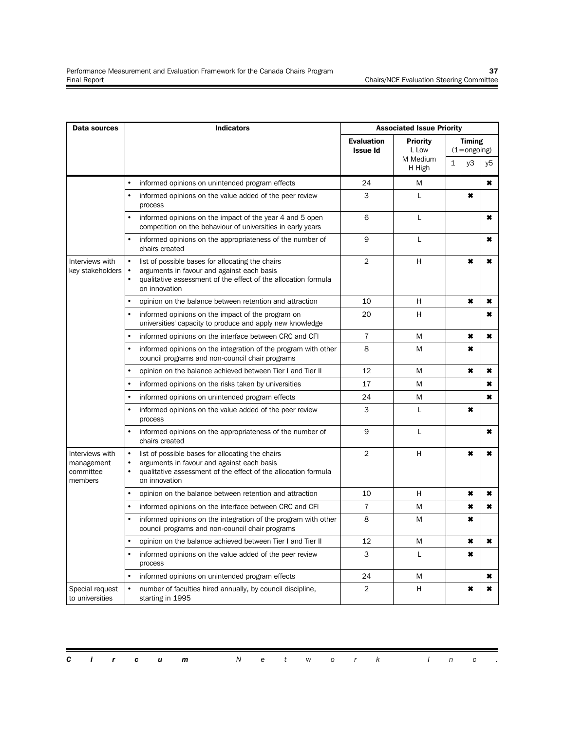| <b>Data sources</b>                                   | <b>Indicators</b>                                                                                                                                                                                                        | <b>Associated Issue Priority</b>     |                          |              |                                         |           |  |  |  |
|-------------------------------------------------------|--------------------------------------------------------------------------------------------------------------------------------------------------------------------------------------------------------------------------|--------------------------------------|--------------------------|--------------|-----------------------------------------|-----------|--|--|--|
|                                                       |                                                                                                                                                                                                                          | <b>Evaluation</b><br><b>Issue Id</b> | <b>Priority</b><br>L Low |              | <b>Timing</b><br>$(1 = \text{ongoing})$ |           |  |  |  |
|                                                       |                                                                                                                                                                                                                          |                                      | M Medium<br>H High       | $\mathbf{1}$ | yЗ                                      | y5        |  |  |  |
|                                                       | $\bullet$<br>informed opinions on unintended program effects                                                                                                                                                             | 24                                   | Μ                        |              |                                         | ×         |  |  |  |
|                                                       | $\bullet$<br>informed opinions on the value added of the peer review<br>process                                                                                                                                          | 3                                    | L                        |              | ×                                       |           |  |  |  |
|                                                       | informed opinions on the impact of the year 4 and 5 open<br>competition on the behaviour of universities in early years                                                                                                  | 6                                    | L                        |              |                                         | ×         |  |  |  |
|                                                       | informed opinions on the appropriateness of the number of<br>chairs created                                                                                                                                              | 9                                    | L                        |              |                                         | ×         |  |  |  |
| Interviews with<br>key stakeholders                   | $\bullet$<br>list of possible bases for allocating the chairs<br>arguments in favour and against each basis<br>qualitative assessment of the effect of the allocation formula<br>on innovation                           | $\overline{2}$                       | H                        |              | ×                                       | ×         |  |  |  |
|                                                       | $\bullet$<br>opinion on the balance between retention and attraction                                                                                                                                                     | 10                                   | H                        |              | $\boldsymbol{\ast}$                     | ×         |  |  |  |
|                                                       | $\bullet$<br>informed opinions on the impact of the program on<br>universities' capacity to produce and apply new knowledge                                                                                              | 20                                   | H                        |              |                                         | ×         |  |  |  |
|                                                       | informed opinions on the interface between CRC and CFI                                                                                                                                                                   | 7                                    | M                        |              | $\ast$                                  | ×         |  |  |  |
|                                                       | informed opinions on the integration of the program with other<br>$\bullet$<br>council programs and non-council chair programs                                                                                           | 8                                    | M                        |              | ×                                       |           |  |  |  |
|                                                       | $\bullet$<br>opinion on the balance achieved between Tier I and Tier II                                                                                                                                                  | 12                                   | M                        |              | ×                                       | ×         |  |  |  |
|                                                       | $\bullet$<br>informed opinions on the risks taken by universities                                                                                                                                                        | 17                                   | M                        |              |                                         | ×         |  |  |  |
|                                                       | $\bullet$<br>informed opinions on unintended program effects                                                                                                                                                             | 24                                   | M                        |              |                                         | $\pmb{x}$ |  |  |  |
|                                                       | informed opinions on the value added of the peer review<br>process                                                                                                                                                       | 3                                    | L                        |              | ×                                       |           |  |  |  |
|                                                       | informed opinions on the appropriateness of the number of<br>chairs created                                                                                                                                              | 9                                    | L                        |              |                                         | ×         |  |  |  |
| Interviews with<br>management<br>committee<br>members | $\bullet$<br>list of possible bases for allocating the chairs<br>arguments in favour and against each basis<br>$\bullet$<br>qualitative assessment of the effect of the allocation formula<br>$\bullet$<br>on innovation | $\overline{2}$                       | H                        |              | $\star$                                 | ×         |  |  |  |
|                                                       | opinion on the balance between retention and attraction                                                                                                                                                                  | 10                                   | н                        |              | ×                                       | ×         |  |  |  |
|                                                       | $\bullet$<br>informed opinions on the interface between CRC and CFI                                                                                                                                                      | 7                                    | M                        |              | $\pmb{\times}$                          | ×         |  |  |  |
|                                                       | informed opinions on the integration of the program with other<br>council programs and non-council chair programs                                                                                                        | 8                                    | M                        |              | ×                                       |           |  |  |  |
|                                                       | $\bullet$<br>opinion on the balance achieved between Tier I and Tier II                                                                                                                                                  | 12                                   | M                        |              | ×                                       | ×         |  |  |  |
|                                                       | informed opinions on the value added of the peer review<br>process                                                                                                                                                       | 3                                    | L                        |              | ×                                       |           |  |  |  |
|                                                       | $\bullet$<br>informed opinions on unintended program effects                                                                                                                                                             | 24                                   | M                        |              |                                         | ×         |  |  |  |
| Special request<br>to universities                    | number of faculties hired annually, by council discipline,<br>starting in 1995                                                                                                                                           | $\overline{2}$                       | H                        |              | ×                                       | ×         |  |  |  |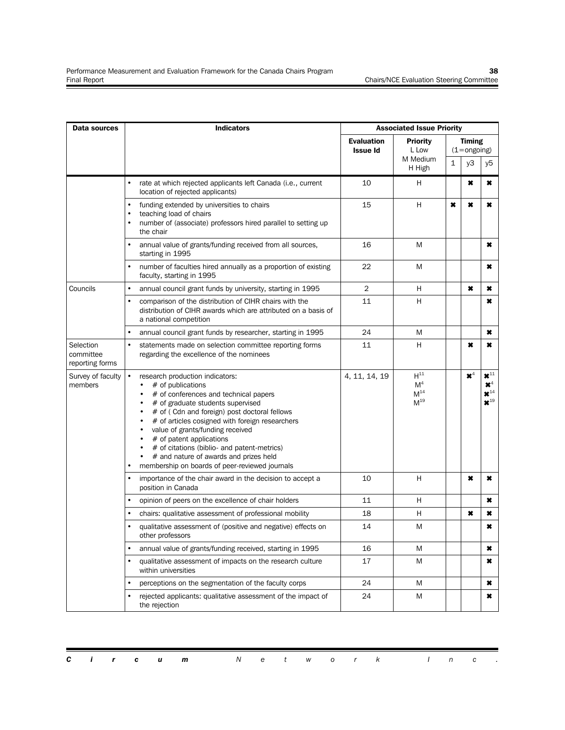| Data sources                              | <b>Indicators</b>                                                                                                                                                                                                                                                                                                                                                                                                                                                                                         | <b>Associated Issue Priority</b>     |                                                    |   |                                         |                                                                                   |  |  |  |
|-------------------------------------------|-----------------------------------------------------------------------------------------------------------------------------------------------------------------------------------------------------------------------------------------------------------------------------------------------------------------------------------------------------------------------------------------------------------------------------------------------------------------------------------------------------------|--------------------------------------|----------------------------------------------------|---|-----------------------------------------|-----------------------------------------------------------------------------------|--|--|--|
|                                           |                                                                                                                                                                                                                                                                                                                                                                                                                                                                                                           | <b>Evaluation</b><br><b>Issue Id</b> | <b>Priority</b><br>L Low                           |   | <b>Timing</b><br>$(1 = \text{ongoing})$ |                                                                                   |  |  |  |
|                                           |                                                                                                                                                                                                                                                                                                                                                                                                                                                                                                           |                                      | M Medium<br>H High                                 | 1 | yЗ                                      | y5                                                                                |  |  |  |
|                                           | rate at which rejected applicants left Canada (i.e., current<br>location of rejected applicants)                                                                                                                                                                                                                                                                                                                                                                                                          | 10                                   | H                                                  |   | ×                                       | ×                                                                                 |  |  |  |
|                                           | funding extended by universities to chairs<br>teaching load of chairs<br>۰<br>number of (associate) professors hired parallel to setting up<br>the chair                                                                                                                                                                                                                                                                                                                                                  | 15                                   | H                                                  | × | ×                                       | ×                                                                                 |  |  |  |
|                                           | annual value of grants/funding received from all sources,<br>starting in 1995                                                                                                                                                                                                                                                                                                                                                                                                                             | 16                                   | M                                                  |   |                                         | ×                                                                                 |  |  |  |
|                                           | number of faculties hired annually as a proportion of existing<br>٠<br>faculty, starting in 1995                                                                                                                                                                                                                                                                                                                                                                                                          | 22                                   | M                                                  |   |                                         | ×                                                                                 |  |  |  |
| Councils                                  | annual council grant funds by university, starting in 1995<br>۰                                                                                                                                                                                                                                                                                                                                                                                                                                           | 2                                    | н                                                  |   | ×                                       | ×                                                                                 |  |  |  |
|                                           | comparison of the distribution of CIHR chairs with the<br>distribution of CIHR awards which are attributed on a basis of<br>a national competition                                                                                                                                                                                                                                                                                                                                                        | 11                                   | Η                                                  |   |                                         | ×                                                                                 |  |  |  |
|                                           | annual council grant funds by researcher, starting in 1995<br>۰                                                                                                                                                                                                                                                                                                                                                                                                                                           | 24                                   | M                                                  |   |                                         | ×                                                                                 |  |  |  |
| Selection<br>committee<br>reporting forms | $\bullet$<br>statements made on selection committee reporting forms<br>regarding the excellence of the nominees                                                                                                                                                                                                                                                                                                                                                                                           | 11                                   | н                                                  |   | ×                                       | ×                                                                                 |  |  |  |
| Survey of faculty<br>members              | research production indicators:<br># of publications<br># of conferences and technical papers<br># of graduate students supervised<br># of (Cdn and foreign) post doctoral fellows<br>$\bullet$<br># of articles cosigned with foreign researchers<br>value of grants/funding received<br>$\bullet$<br># of patent applications<br>$\bullet$<br># of citations (biblio- and patent-metrics)<br># and nature of awards and prizes held<br>$\bullet$<br>membership on boards of peer-reviewed journals<br>٠ | 4, 11, 14, 19                        | $H^{11}$<br>M <sup>4</sup><br>$M^{14}$<br>$M^{19}$ |   | $\mathbf{x}^4$                          | $\mathbf{x}^{11}$<br>$\mathbf{x}^4$<br>$\star$ <sup>14</sup><br>$\mathbf{x}^{19}$ |  |  |  |
|                                           | importance of the chair award in the decision to accept a<br>position in Canada                                                                                                                                                                                                                                                                                                                                                                                                                           | 10                                   | H                                                  |   | ×                                       | ×                                                                                 |  |  |  |
|                                           | opinion of peers on the excellence of chair holders                                                                                                                                                                                                                                                                                                                                                                                                                                                       | 11                                   | H                                                  |   |                                         | ×                                                                                 |  |  |  |
|                                           | chairs: qualitative assessment of professional mobility                                                                                                                                                                                                                                                                                                                                                                                                                                                   | 18                                   | н                                                  |   | ×                                       | ×                                                                                 |  |  |  |
|                                           | qualitative assessment of (positive and negative) effects on<br>other professors                                                                                                                                                                                                                                                                                                                                                                                                                          | 14                                   | M                                                  |   |                                         | ×                                                                                 |  |  |  |
|                                           | annual value of grants/funding received, starting in 1995<br>۰                                                                                                                                                                                                                                                                                                                                                                                                                                            | 16                                   | M                                                  |   |                                         | ×                                                                                 |  |  |  |
|                                           | qualitative assessment of impacts on the research culture<br>within universities                                                                                                                                                                                                                                                                                                                                                                                                                          | 17                                   | M                                                  |   |                                         | ×                                                                                 |  |  |  |
|                                           | perceptions on the segmentation of the faculty corps                                                                                                                                                                                                                                                                                                                                                                                                                                                      | 24                                   | M                                                  |   |                                         | ×                                                                                 |  |  |  |
|                                           | rejected applicants: qualitative assessment of the impact of<br>the rejection                                                                                                                                                                                                                                                                                                                                                                                                                             | 24                                   | M                                                  |   |                                         | ×                                                                                 |  |  |  |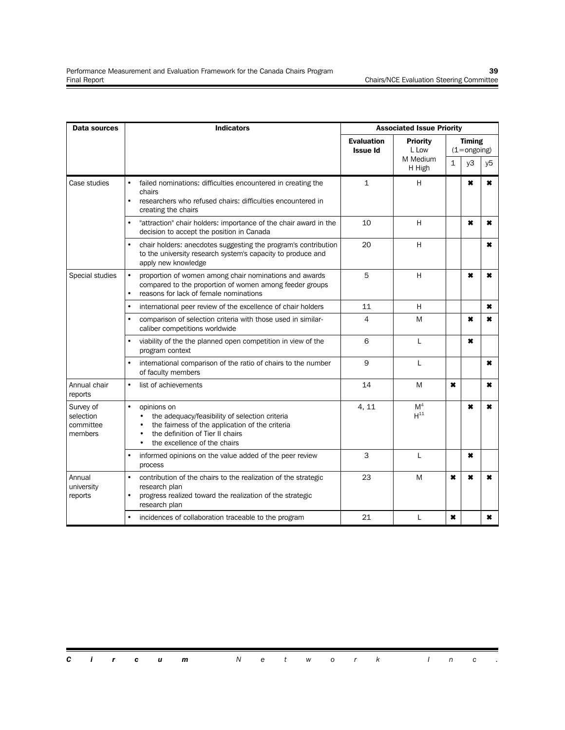| <b>Data sources</b>                            | <b>Indicators</b>                                                                                                                                                                                 | <b>Associated Issue Priority</b>     |                            |                     |                                         |                |  |  |  |
|------------------------------------------------|---------------------------------------------------------------------------------------------------------------------------------------------------------------------------------------------------|--------------------------------------|----------------------------|---------------------|-----------------------------------------|----------------|--|--|--|
|                                                |                                                                                                                                                                                                   | <b>Evaluation</b><br><b>Issue Id</b> | <b>Priority</b><br>L Low   |                     | <b>Timing</b><br>$(1 = \text{ongoing})$ |                |  |  |  |
|                                                |                                                                                                                                                                                                   |                                      | M Medium                   | $\mathbf{1}$        | v3                                      | y5             |  |  |  |
|                                                |                                                                                                                                                                                                   |                                      | H High                     |                     |                                         |                |  |  |  |
| Case studies                                   | failed nominations: difficulties encountered in creating the<br>٠<br>chairs<br>researchers who refused chairs: difficulties encountered in<br>٠<br>creating the chairs                            | $\mathbf{1}$                         | H                          |                     | $\boldsymbol{\ast}$                     | $\pmb{\times}$ |  |  |  |
|                                                | "attraction" chair holders: importance of the chair award in the<br>decision to accept the position in Canada                                                                                     | 10                                   | H                          |                     | $\pmb{\times}$                          | ×              |  |  |  |
|                                                | chair holders: anecdotes suggesting the program's contribution<br>to the university research system's capacity to produce and<br>apply new knowledge                                              | 20                                   | H                          |                     |                                         | ×              |  |  |  |
| Special studies                                | ٠<br>proportion of women among chair nominations and awards<br>compared to the proportion of women among feeder groups<br>reasons for lack of female nominations<br>$\bullet$                     | 5                                    | H                          |                     | $\pmb{\times}$                          | ×              |  |  |  |
|                                                | international peer review of the excellence of chair holders<br>۰                                                                                                                                 | 11                                   | н                          |                     |                                         | ×              |  |  |  |
|                                                | comparison of selection criteria with those used in similar-<br>٠<br>caliber competitions worldwide                                                                                               | 4                                    | M                          |                     | ×                                       | ×              |  |  |  |
|                                                | viability of the the planned open competition in view of the<br>$\bullet$<br>program context                                                                                                      | 6                                    | L                          |                     | $\boldsymbol{\ast}$                     |                |  |  |  |
|                                                | international comparison of the ratio of chairs to the number<br>of faculty members                                                                                                               | 9                                    | L                          |                     |                                         | ×              |  |  |  |
| Annual chair<br>reports                        | list of achievements                                                                                                                                                                              | 14                                   | M                          | $\boldsymbol{\ast}$ |                                         | ×              |  |  |  |
| Survey of<br>selection<br>committee<br>members | opinions on<br>the adequacy/feasibility of selection criteria<br>the fairness of the application of the criteria<br>the definition of Tier II chairs<br>the excellence of the chairs<br>$\bullet$ | 4, 11                                | M <sup>4</sup><br>$H^{11}$ |                     | ×                                       | ×              |  |  |  |
|                                                | informed opinions on the value added of the peer review<br>process                                                                                                                                | 3                                    | L                          |                     | $\pmb{\ast}$                            |                |  |  |  |
| Annual<br>university<br>reports                | ٠<br>contribution of the chairs to the realization of the strategic<br>research plan<br>progress realized toward the realization of the strategic<br>$\bullet$<br>research plan                   | 23                                   | M                          | $\pmb{\ast}$        | ×                                       | ×              |  |  |  |
|                                                | incidences of collaboration traceable to the program                                                                                                                                              | 21                                   | L                          | $\boldsymbol{\ast}$ |                                         | ×              |  |  |  |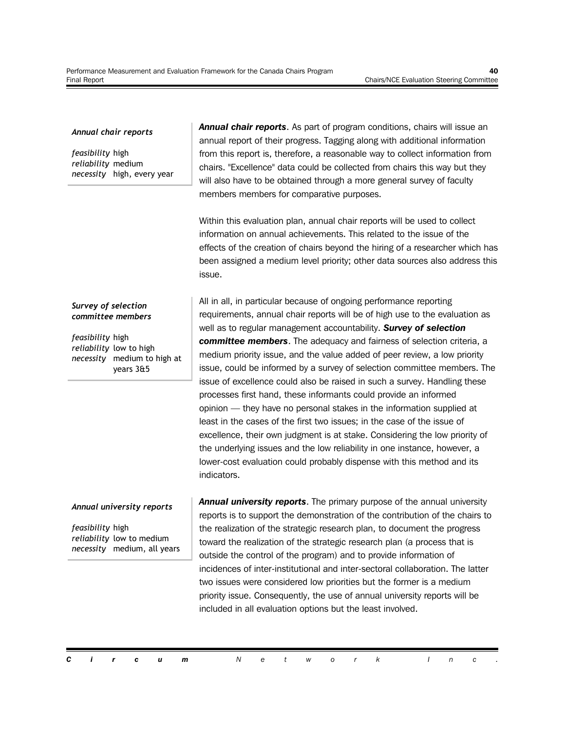#### *Annual chair reports*

*feasibility* high *reliability* medium *necessity* high, every year

#### *Survey of selection committee members*

*feasibility* high *reliability* low to high *necessity* medium to high at years 3&5

#### *Annual university reports*

*feasibility* high *reliability* low to medium *necessity* medium, all years *Annual chair reports*. As part of program conditions, chairs will issue an annual report of their progress. Tagging along with additional information from this report is, therefore, a reasonable way to collect information from chairs. "Excellence" data could be collected from chairs this way but they will also have to be obtained through a more general survey of faculty members members for comparative purposes.

Within this evaluation plan, annual chair reports will be used to collect information on annual achievements. This related to the issue of the effects of the creation of chairs beyond the hiring of a researcher which has been assigned a medium level priority; other data sources also address this issue.

All in all, in particular because of ongoing performance reporting requirements, annual chair reports will be of high use to the evaluation as well as to regular management accountability. *Survey of selection committee members*. The adequacy and fairness of selection criteria, a medium priority issue, and the value added of peer review, a low priority issue, could be informed by a survey of selection committee members. The issue of excellence could also be raised in such a survey. Handling these processes first hand, these informants could provide an informed opinion — they have no personal stakes in the information supplied at least in the cases of the first two issues; in the case of the issue of excellence, their own judgment is at stake. Considering the low priority of the underlying issues and the low reliability in one instance, however, a lower-cost evaluation could probably dispense with this method and its indicators.

*Annual university reports*. The primary purpose of the annual university reports is to support the demonstration of the contribution of the chairs to the realization of the strategic research plan, to document the progress toward the realization of the strategic research plan (a process that is outside the control of the program) and to provide information of incidences of inter-institutional and inter-sectoral collaboration. The latter two issues were considered low priorities but the former is a medium priority issue. Consequently, the use of annual university reports will be included in all evaluation options but the least involved.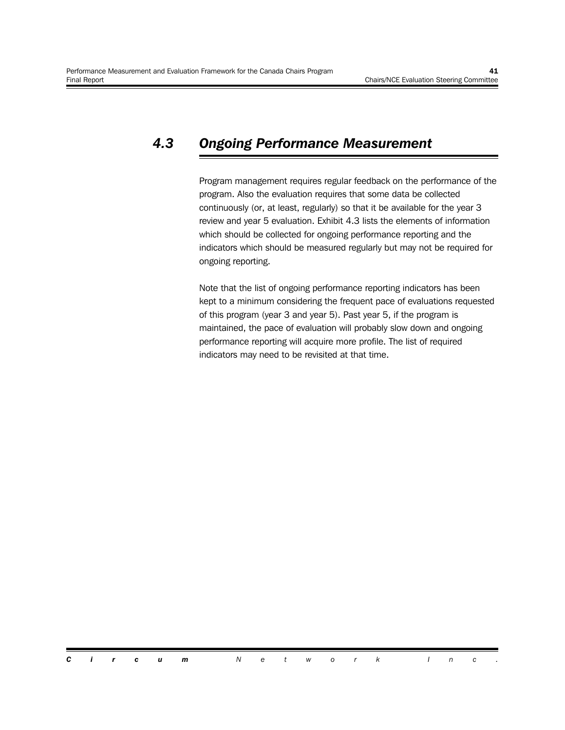#### *4.3 Ongoing Performance Measurement*

Program management requires regular feedback on the performance of the program. Also the evaluation requires that some data be collected continuously (or, at least, regularly) so that it be available for the year 3 review and year 5 evaluation. Exhibit 4.3 lists the elements of information which should be collected for ongoing performance reporting and the indicators which should be measured regularly but may not be required for ongoing reporting.

Note that the list of ongoing performance reporting indicators has been kept to a minimum considering the frequent pace of evaluations requested of this program (year 3 and year 5). Past year 5, if the program is maintained, the pace of evaluation will probably slow down and ongoing performance reporting will acquire more profile. The list of required indicators may need to be revisited at that time.

*Circum Network Inc .*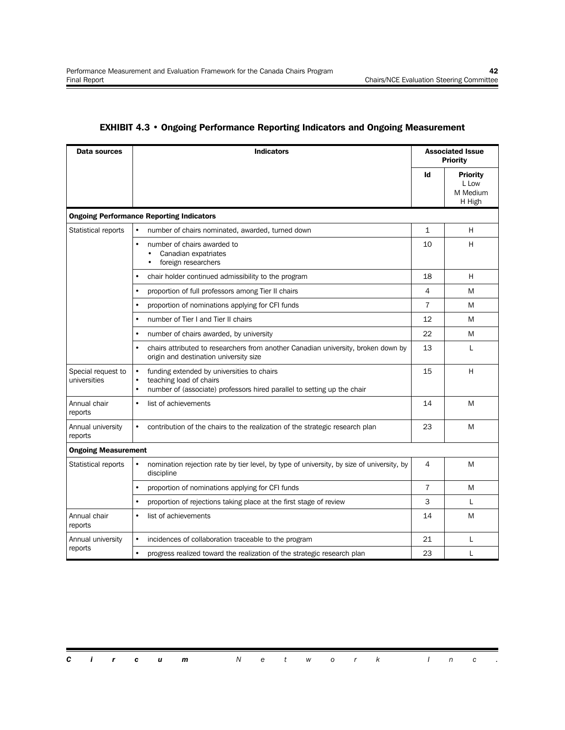| Data sources                       | <b>Indicators</b>                                                                                                                                                                       | <b>Associated Issue</b><br><b>Priority</b> |                                                |  |  |
|------------------------------------|-----------------------------------------------------------------------------------------------------------------------------------------------------------------------------------------|--------------------------------------------|------------------------------------------------|--|--|
|                                    |                                                                                                                                                                                         | Id                                         | <b>Priority</b><br>L Low<br>M Medium<br>H High |  |  |
|                                    | <b>Ongoing Performance Reporting Indicators</b>                                                                                                                                         |                                            |                                                |  |  |
| <b>Statistical reports</b>         | $\bullet$<br>number of chairs nominated, awarded, turned down                                                                                                                           | $\mathbf{1}$                               | н                                              |  |  |
|                                    | number of chairs awarded to<br>$\bullet$<br>Canadian expatriates<br>$\bullet$<br>foreign researchers                                                                                    |                                            |                                                |  |  |
|                                    | chair holder continued admissibility to the program<br>$\bullet$                                                                                                                        | 18                                         | н                                              |  |  |
|                                    | proportion of full professors among Tier II chairs<br>$\bullet$                                                                                                                         | 4                                          | M                                              |  |  |
|                                    | $\bullet$<br>proportion of nominations applying for CFI funds                                                                                                                           | $\overline{7}$                             | M                                              |  |  |
|                                    | number of Tier I and Tier II chairs<br>$\bullet$                                                                                                                                        | 12                                         | M                                              |  |  |
|                                    | number of chairs awarded, by university<br>$\bullet$                                                                                                                                    | 22                                         | M                                              |  |  |
|                                    | chairs attributed to researchers from another Canadian university, broken down by<br>$\bullet$<br>origin and destination university size                                                | 13                                         | L                                              |  |  |
| Special request to<br>universities | funding extended by universities to chairs<br>$\bullet$<br>teaching load of chairs<br>$\bullet$<br>number of (associate) professors hired parallel to setting up the chair<br>$\bullet$ | 15                                         | H                                              |  |  |
| Annual chair<br>reports            | list of achievements<br>$\bullet$                                                                                                                                                       | 14                                         | M                                              |  |  |
| Annual university<br>reports       | $\bullet$<br>contribution of the chairs to the realization of the strategic research plan                                                                                               | 23                                         | M                                              |  |  |
| <b>Ongoing Measurement</b>         |                                                                                                                                                                                         |                                            |                                                |  |  |
| Statistical reports                | nomination rejection rate by tier level, by type of university, by size of university, by<br>$\bullet$<br>discipline                                                                    | 4                                          | M                                              |  |  |
|                                    | proportion of nominations applying for CFI funds<br>$\bullet$                                                                                                                           | $\overline{7}$                             | M                                              |  |  |
|                                    | $\bullet$<br>proportion of rejections taking place at the first stage of review                                                                                                         | 3                                          | L                                              |  |  |
| Annual chair<br>reports            | list of achievements<br>$\bullet$                                                                                                                                                       | 14                                         | M                                              |  |  |
| Annual university                  | $\bullet$<br>incidences of collaboration traceable to the program                                                                                                                       | 21                                         | L                                              |  |  |
| reports                            | $\bullet$<br>progress realized toward the realization of the strategic research plan                                                                                                    | 23                                         | L                                              |  |  |

#### **EXHIBIT 4.3 • Ongoing Performance Reporting Indicators and Ongoing Measurement**

|  |  | <b>Circum</b> Network Inc. |  |  |  |  |  |  |
|--|--|----------------------------|--|--|--|--|--|--|
|  |  |                            |  |  |  |  |  |  |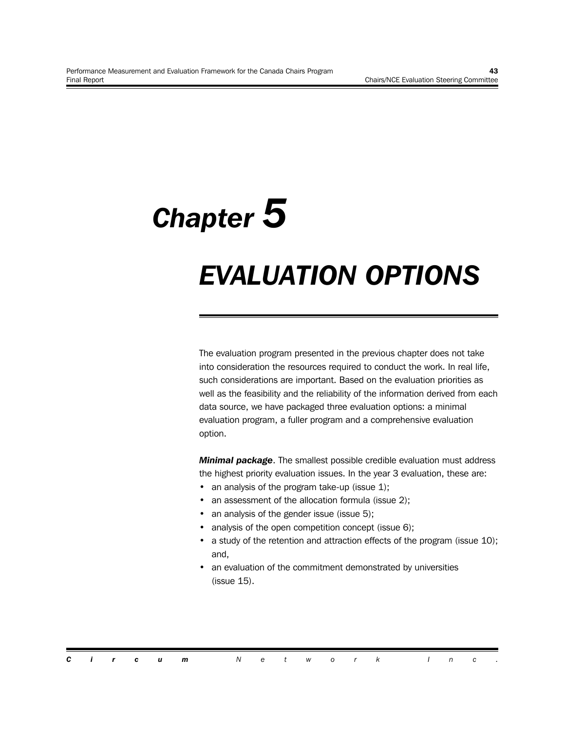# *Chapter 5*

### *EVALUATION OPTIONS*

The evaluation program presented in the previous chapter does not take into consideration the resources required to conduct the work. In real life, such considerations are important. Based on the evaluation priorities as well as the feasibility and the reliability of the information derived from each data source, we have packaged three evaluation options: a minimal evaluation program, a fuller program and a comprehensive evaluation option.

*Minimal package*. The smallest possible credible evaluation must address the highest priority evaluation issues. In the year 3 evaluation, these are:

- an analysis of the program take-up (issue 1);
- an assessment of the allocation formula (issue 2);
- an analysis of the gender issue (issue 5);
- analysis of the open competition concept (issue 6);
- a study of the retention and attraction effects of the program (issue 10); and,
- an evaluation of the commitment demonstrated by universities (issue 15).

|  |  | <b>Circum</b> Network Inc. |  |  |  |  |  |  |
|--|--|----------------------------|--|--|--|--|--|--|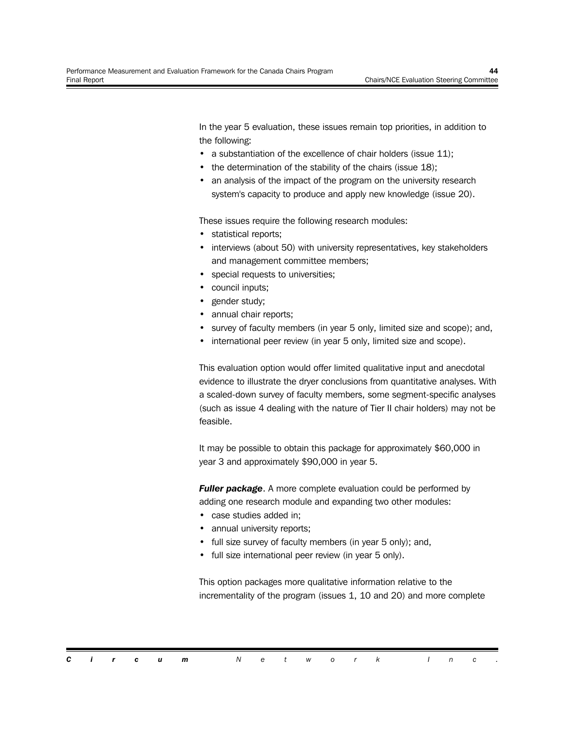In the year 5 evaluation, these issues remain top priorities, in addition to the following:

- a substantiation of the excellence of chair holders (issue 11);
- the determination of the stability of the chairs (issue 18);
- an analysis of the impact of the program on the university research system's capacity to produce and apply new knowledge (issue 20).

These issues require the following research modules:

- statistical reports;
- interviews (about 50) with university representatives, key stakeholders and management committee members;
- special requests to universities;
- council inputs;
- gender study;
- annual chair reports;
- survey of faculty members (in year 5 only, limited size and scope); and,
- international peer review (in year 5 only, limited size and scope).

This evaluation option would offer limited qualitative input and anecdotal evidence to illustrate the dryer conclusions from quantitative analyses. With a scaled-down survey of faculty members, some segment-specific analyses (such as issue 4 dealing with the nature of Tier II chair holders) may not be feasible.

It may be possible to obtain this package for approximately \$60,000 in year 3 and approximately \$90,000 in year 5.

**Fuller package.** A more complete evaluation could be performed by adding one research module and expanding two other modules:

- case studies added in;
- annual university reports;
- full size survey of faculty members (in year 5 only); and,
- full size international peer review (in year 5 only).

This option packages more qualitative information relative to the incrementality of the program (issues 1, 10 and 20) and more complete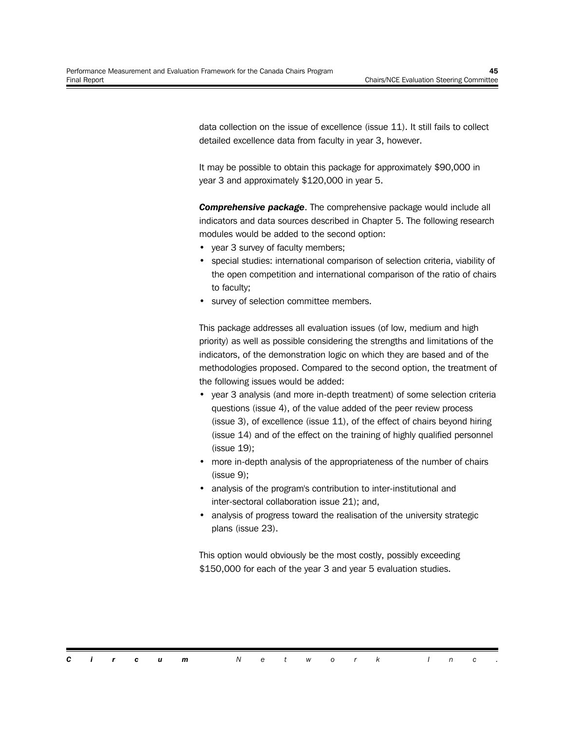data collection on the issue of excellence (issue 11). It still fails to collect detailed excellence data from faculty in year 3, however.

It may be possible to obtain this package for approximately \$90,000 in year 3 and approximately \$120,000 in year 5.

*Comprehensive package*. The comprehensive package would include all indicators and data sources described in Chapter 5. The following research modules would be added to the second option:

- year 3 survey of faculty members;
- special studies: international comparison of selection criteria, viability of the open competition and international comparison of the ratio of chairs to faculty;
- survey of selection committee members.

This package addresses all evaluation issues (of low, medium and high priority) as well as possible considering the strengths and limitations of the indicators, of the demonstration logic on which they are based and of the methodologies proposed. Compared to the second option, the treatment of the following issues would be added:

- year 3 analysis (and more in-depth treatment) of some selection criteria questions (issue 4), of the value added of the peer review process (issue 3), of excellence (issue 11), of the effect of chairs beyond hiring (issue 14) and of the effect on the training of highly qualified personnel (issue 19);
- more in-depth analysis of the appropriateness of the number of chairs (issue 9);
- analysis of the program's contribution to inter-institutional and inter-sectoral collaboration issue 21); and,
- analysis of progress toward the realisation of the university strategic plans (issue 23).

This option would obviously be the most costly, possibly exceeding \$150,000 for each of the year 3 and year 5 evaluation studies.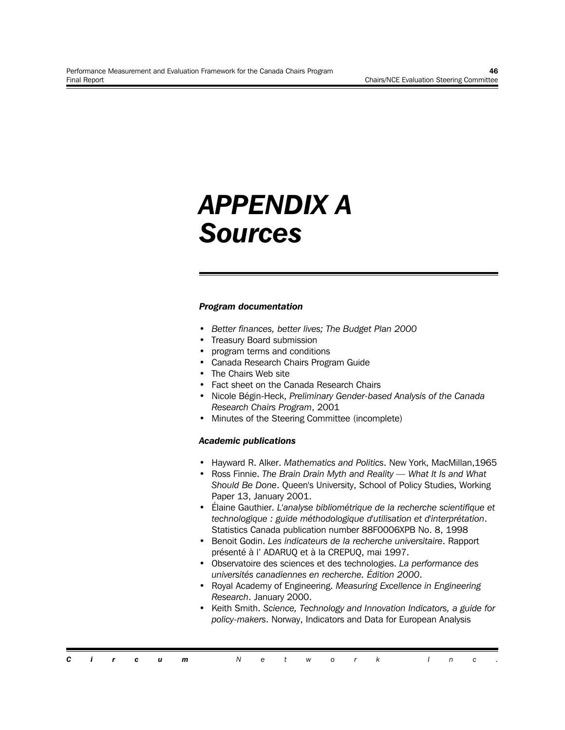### *APPENDIX A Sources*

#### *Program documentation*

- *Better finances, better lives; The Budget Plan 2000*
- Treasury Board submission
- program terms and conditions
- Canada Research Chairs Program Guide
- The Chairs Web site
- Fact sheet on the Canada Research Chairs
- Nicole Bégin-Heck, *Preliminary Gender-based Analysis of the Canada Research Chairs Program*, 2001
- Minutes of the Steering Committee (incomplete)

#### *Academic publications*

- Hayward R. Alker. *Mathematics and Politics*. New York, MacMillan,1965
- Ross Finnie. *The Brain Drain Myth and Reality What It Is and What Should Be Done*. Queen's University, School of Policy Studies, Working Paper 13, January 2001.
- Élaine Gauthier. *L'analyse bibliométrique de la recherche scientifique et technologique : guide méthodologique d'utilisation et d'interprétation*. Statistics Canada publication number 88F0006XPB No. 8, 1998
- Benoit Godin. *Les indicateurs de la recherche universitaire*. Rapport présenté à l' ADARUQ et à la CREPUQ, mai 1997.
- Observatoire des sciences et des technologies. *La performance des universités canadiennes en recherche. Édition 2000*.
- Royal Academy of Engineering. *Measuring Excellence in Engineering Research*. January 2000.
- Keith Smith. *Science, Technology and Innovation Indicators, a guide for policy-makers*. Norway, Indicators and Data for European Analysis